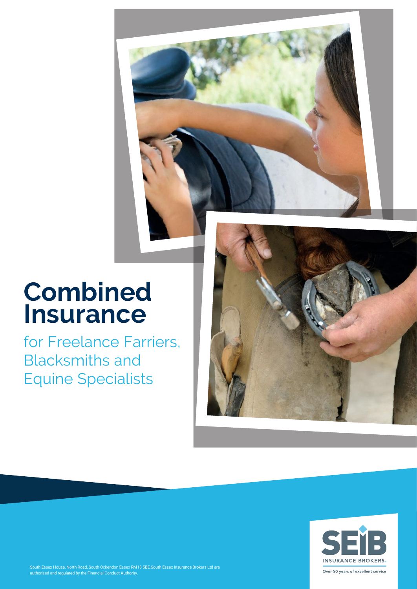# **Combined Insurance**

for Freelance Farriers, Blacksmiths and Equine Specialists



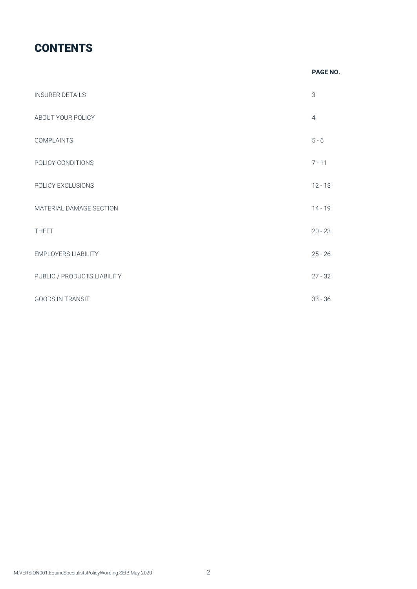# **CONTENTS**

|                             | PAGE NO.                  |
|-----------------------------|---------------------------|
| <b>INSURER DETAILS</b>      | $\ensuremath{\mathsf{3}}$ |
| ABOUT YOUR POLICY           | $\overline{4}$            |
| <b>COMPLAINTS</b>           | $5 - 6$                   |
| POLICY CONDITIONS           | $7 - 11$                  |
| POLICY EXCLUSIONS           | $12 - 13$                 |
| MATERIAL DAMAGE SECTION     | $14 - 19$                 |
| <b>THEFT</b>                | $20 - 23$                 |
| <b>EMPLOYERS LIABILITY</b>  | $25 - 26$                 |
| PUBLIC / PRODUCTS LIABILITY | $27 - 32$                 |
| <b>GOODS IN TRANSIT</b>     | $33 - 36$                 |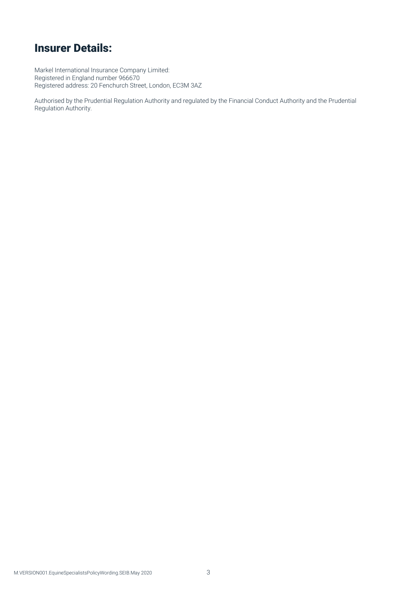# Insurer Details:

Markel International Insurance Company Limited: Registered in England number 966670 Registered address: 20 Fenchurch Street, London, EC3M 3AZ

Authorised by the Prudential Regulation Authority and regulated by the Financial Conduct Authority and the Prudential Regulation Authority.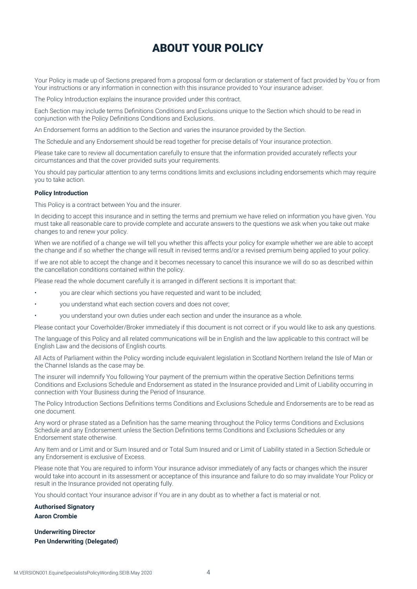# ABOUT YOUR POLICY

Your Policy is made up of Sections prepared from a proposal form or declaration or statement of fact provided by You or from Your instructions or any information in connection with this insurance provided to Your insurance adviser.

The Policy Introduction explains the insurance provided under this contract.

Each Section may include terms Definitions Conditions and Exclusions unique to the Section which should to be read in conjunction with the Policy Definitions Conditions and Exclusions.

An Endorsement forms an addition to the Section and varies the insurance provided by the Section.

The Schedule and any Endorsement should be read together for precise details of Your insurance protection.

Please take care to review all documentation carefully to ensure that the information provided accurately reflects your circumstances and that the cover provided suits your requirements.

You should pay particular attention to any terms conditions limits and exclusions including endorsements which may require you to take action.

#### **Policy Introduction**

This Policy is a contract between You and the insurer.

In deciding to accept this insurance and in setting the terms and premium we have relied on information you have given. You must take all reasonable care to provide complete and accurate answers to the questions we ask when you take out make changes to and renew your policy.

When we are notified of a change we will tell you whether this affects your policy for example whether we are able to accept the change and if so whether the change will result in revised terms and/or a revised premium being applied to your policy.

If we are not able to accept the change and it becomes necessary to cancel this insurance we will do so as described within the cancellation conditions contained within the policy.

Please read the whole document carefully it is arranged in different sections It is important that:

- you are clear which sections you have requested and want to be included;
- you understand what each section covers and does not cover;
- you understand your own duties under each section and under the insurance as a whole.

Please contact your Coverholder/Broker immediately if this document is not correct or if you would like to ask any questions.

The language of this Policy and all related communications will be in English and the law applicable to this contract will be English Law and the decisions of English courts.

All Acts of Parliament within the Policy wording include equivalent legislation in Scotland Northern Ireland the Isle of Man or the Channel Islands as the case may be.

The insurer will indemnify You following Your payment of the premium within the operative Section Definitions terms Conditions and Exclusions Schedule and Endorsement as stated in the Insurance provided and Limit of Liability occurring in connection with Your Business during the Period of Insurance.

The Policy Introduction Sections Definitions terms Conditions and Exclusions Schedule and Endorsements are to be read as one document.

Any word or phrase stated as a Definition has the same meaning throughout the Policy terms Conditions and Exclusions Schedule and any Endorsement unless the Section Definitions terms Conditions and Exclusions Schedules or any Endorsement state otherwise.

Any Item and or Limit and or Sum Insured and or Total Sum Insured and or Limit of Liability stated in a Section Schedule or any Endorsement is exclusive of Excess.

Please note that You are required to inform Your insurance advisor immediately of any facts or changes which the insurer would take into account in its assessment or acceptance of this insurance and failure to do so may invalidate Your Policy or result in the Insurance provided not operating fully.

You should contact Your insurance advisor if You are in any doubt as to whether a fact is material or not.

**Authorised Signatory Aaron Crombie** 

**Underwriting Director Pen Underwriting (Delegated)**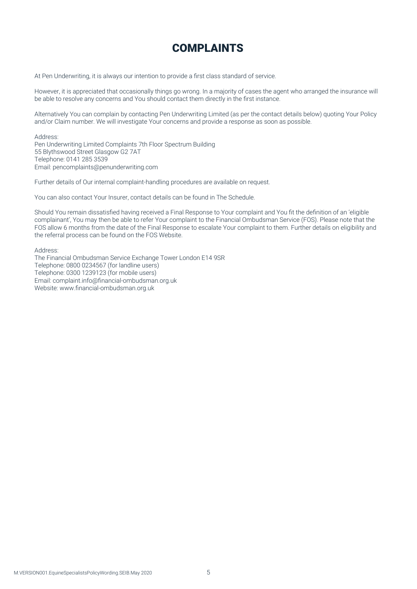# COMPLAINTS

At Pen Underwriting, it is always our intention to provide a first class standard of service.

However, it is appreciated that occasionally things go wrong. In a majority of cases the agent who arranged the insurance will be able to resolve any concerns and You should contact them directly in the first instance.

Alternatively You can complain by contacting Pen Underwriting Limited (as per the contact details below) quoting Your Policy and/or Claim number. We will investigate Your concerns and provide a response as soon as possible.

Address: Pen Underwriting Limited Complaints 7th Floor Spectrum Building 55 Blythswood Street Glasgow G2 7AT Telephone: 0141 285 3539 Email: pencomplaints@penunderwriting.com

Further details of Our internal complaint-handling procedures are available on request.

You can also contact Your Insurer, contact details can be found in The Schedule.

Should You remain dissatisfied having received a Final Response to Your complaint and You fit the definition of an 'eligible complainant', You may then be able to refer Your complaint to the Financial Ombudsman Service (FOS). Please note that the FOS allow 6 months from the date of the Final Response to escalate Your complaint to them. Further details on eligibility and the referral process can be found on the FOS Website.

Address:

The Financial Ombudsman Service Exchange Tower London E14 9SR Telephone: 0800 0234567 (for landline users) Telephone: 0300 1239123 (for mobile users) Email: complaint.info@financial-ombudsman.org.uk Website: www.financial-ombudsman.org.uk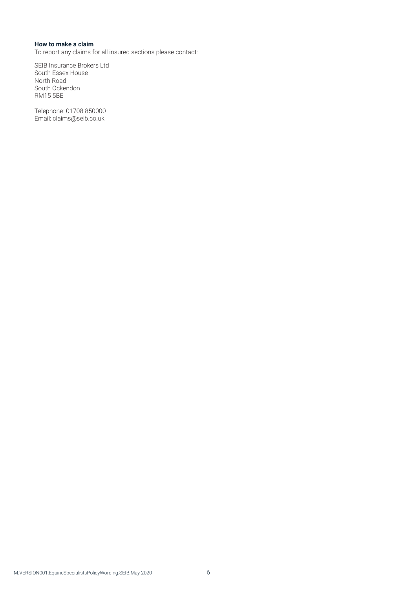# **How to make a claim**

To report any claims for all insured sections please contact:

SEIB Insurance Brokers Ltd South Essex House North Road South Ockendon RM15 5BE

Telephone: 01708 850000 Email: claims@seib.co.uk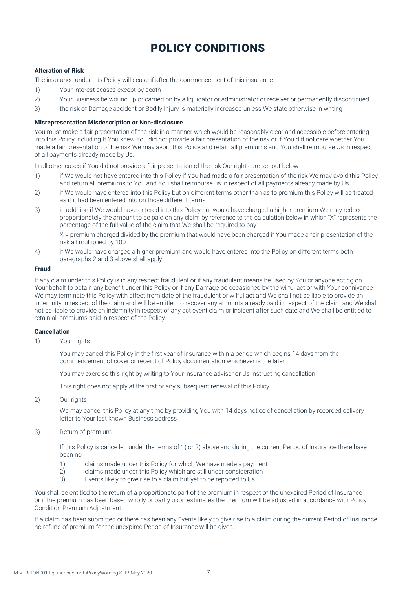# POLICY CONDITIONS

#### **Alteration of Risk**

The insurance under this Policy will cease if after the commencement of this insurance

- 1) Your interest ceases except by death
- 2) Your Business be wound up or carried on by a liquidator or administrator or receiver or permanently discontinued
- 3) the risk of Damage accident or Bodily Injury is materially increased unless We state otherwise in writing

#### **Misrepresentation Misdescription or Non-disclosure**

You must make a fair presentation of the risk in a manner which would be reasonably clear and accessible before entering into this Policy including If You knew You did not provide a fair presentation of the risk or if You did not care whether You made a fair presentation of the risk We may avoid this Policy and retain all premiums and You shall reimburse Us in respect of all payments already made by Us.

In all other cases if You did not provide a fair presentation of the risk Our rights are set out below

- 1) if We would not have entered into this Policy if You had made a fair presentation of the risk We may avoid this Policy and return all premiums to You and You shall reimburse us in respect of all payments already made by Us
- 2) if We would have entered into this Policy but on different terms other than as to premium this Policy will be treated as if it had been entered into on those different terms
- 3) in addition if We would have entered into this Policy but would have charged a higher premium We may reduce proportionately the amount to be paid on any claim by reference to the calculation below in which "X" represents the percentage of the full value of the claim that We shall be required to pay

X = premium charged divided by the premium that would have been charged if You made a fair presentation of the risk all multiplied by 100

4) if We would have charged a higher premium and would have entered into the Policy on different terms both paragraphs 2 and 3 above shall apply

#### **Fraud**

If any claim under this Policy is in any respect fraudulent or if any fraudulent means be used by You or anyone acting on Your behalf to obtain any benefit under this Policy or if any Damage be occasioned by the wilful act or with Your connivance We may terminate this Policy with effect from date of the fraudulent or wilful act and We shall not be liable to provide an indemnity in respect of the claim and will be entitled to recover any amounts already paid in respect of the claim and We shall not be liable to provide an indemnity in respect of any act event claim or incident after such date and We shall be entitled to retain all premiums paid in respect of the Policy.

#### **Cancellation**

1) Your rights

You may cancel this Policy in the first year of insurance within a period which begins 14 days from the commencement of cover or receipt of Policy documentation whichever is the later

You may exercise this right by writing to Your insurance adviser or Us instructing cancellation

This right does not apply at the first or any subsequent renewal of this Policy

2) Our rights

We may cancel this Policy at any time by providing You with 14 days notice of cancellation by recorded delivery letter to Your last known Business address

3) Return of premium

If this Policy is cancelled under the terms of 1) or 2) above and during the current Period of Insurance there have been no

- 1) claims made under this Policy for which We have made a payment
- 2) claims made under this Policy which are still under consideration<br>3) Events likely to give rise to a claim but yet to be reported to Us
- Events likely to give rise to a claim but yet to be reported to Us

You shall be entitled to the return of a proportionate part of the premium in respect of the unexpired Period of Insurance or if the premium has been based wholly or partly upon estimates the premium will be adjusted in accordance with Policy Condition Premium Adjustment.

If a claim has been submitted or there has been any Events likely to give rise to a claim during the current Period of Insurance no refund of premium for the unexpired Period of Insurance will be given.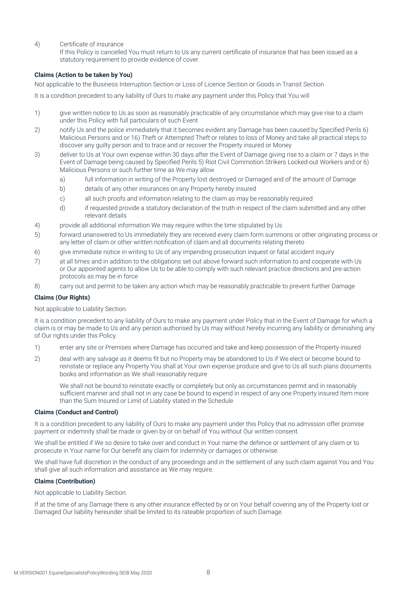4) Certificate of insurance

If this Policy is cancelled You must return to Us any current certificate of insurance that has been issued as a statutory requirement to provide evidence of cover.

# **Claims (Action to be taken by You)**

Not applicable to the Business Interruption Section or Loss of Licence Section or Goods in Transit Section

It is a condition precedent to any liability of Ours to make any payment under this Policy that You will

- 1) give written notice to Us as soon as reasonably practicable of any circumstance which may give rise to a claim under this Policy with full particulars of such Event
- 2) notify Us and the police immediately that it becomes evident any Damage has been caused by Specified Perils 6) Malicious Persons and or 16) Theft or Attempted Theft or relates to loss of Money and take all practical steps to discover any guilty person and to trace and or recover the Property insured or Money
- 3) deliver to Us at Your own expense within 30 days after the Event of Damage giving rise to a claim or 7 days in the Event of Damage being caused by Specified Perils 5) Riot Civil Commotion Strikers Locked-out Workers and or 6) Malicious Persons or such further time as We may allow
	- a) full information in writing of the Property lost destroyed or Damaged and of the amount of Damage
	- b) details of any other insurances on any Property hereby insured
	- c) all such proofs and information relating to the claim as may be reasonably required
	- d) if requested provide a statutory declaration of the truth in respect of the claim submitted and any other relevant details
- 4) provide all additional information We may require within the time stipulated by Us
- 5) forward unanswered to Us immediately they are received every claim form summons or other originating process or any letter of claim or other written notification of claim and all documents relating thereto
- 6) give immediate notice in writing to Us of any impending prosecution inquest or fatal accident inquiry
- 7) at all times and in addition to the obligations set out above forward such information to and cooperate with Us or Our appointed agents to allow Us to be able to comply with such relevant practice directions and pre-action protocols as may be in force
- 8) carry out and permit to be taken any action which may be reasonably practicable to prevent further Damage

#### **Claims (Our Rights)**

Not applicable to Liability Section.

It is a condition precedent to any liability of Ours to make any payment under Policy that in the Event of Damage for which a claim is or may be made to Us and any person authorised by Us may without hereby incurring any liability or diminishing any of Our rights under this Policy.

- 1) enter any site or Premises where Damage has occurred and take and keep possession of the Property insured
- 2) deal with any salvage as it deems fit but no Property may be abandoned to Us if We elect or become bound to reinstate or replace any Property You shall at Your own expense produce and give to Us all such plans documents books and information as We shall reasonably require

We shall not be bound to reinstate exactly or completely but only as circumstances permit and in reasonably sufficient manner and shall not in any case be bound to expend in respect of any one Property insured Item more than the Sum Insured or Limit of Liability stated in the Schedule

#### **Claims (Conduct and Control)**

It is a condition precedent to any liability of Ours to make any payment under this Policy that no admission offer promise payment or indemnity shall be made or given by or on behalf of You without Our written consent.

We shall be entitled if We so desire to take over and conduct in Your name the defence or settlement of any claim or to prosecute in Your name for Our benefit any claim for indemnity or damages or otherwise.

We shall have full discretion in the conduct of any proceedings and in the settlement of any such claim against You and You shall give all such information and assistance as We may require.

# **Claims (Contribution)**

Not applicable to Liability Section.

If at the time of any Damage there is any other insurance effected by or on Your behalf covering any of the Property lost or Damaged Our liability hereunder shall be limited to its rateable proportion of such Damage.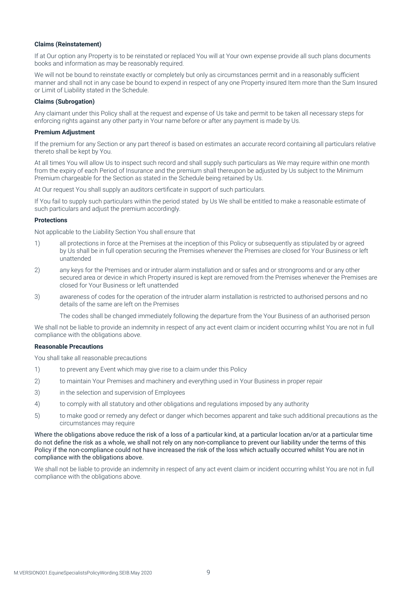#### **Claims (Reinstatement)**

If at Our option any Property is to be reinstated or replaced You will at Your own expense provide all such plans documents books and information as may be reasonably required.

We will not be bound to reinstate exactly or completely but only as circumstances permit and in a reasonably sufficient manner and shall not in any case be bound to expend in respect of any one Property insured Item more than the Sum Insured or Limit of Liability stated in the Schedule.

#### **Claims (Subrogation)**

Any claimant under this Policy shall at the request and expense of Us take and permit to be taken all necessary steps for enforcing rights against any other party in Your name before or after any payment is made by Us.

#### **Premium Adjustment**

If the premium for any Section or any part thereof is based on estimates an accurate record containing all particulars relative thereto shall be kept by You.

At all times You will allow Us to inspect such record and shall supply such particulars as We may require within one month from the expiry of each Period of Insurance and the premium shall thereupon be adjusted by Us subject to the Minimum Premium chargeable for the Section as stated in the Schedule being retained by Us.

At Our request You shall supply an auditors certificate in support of such particulars.

If You fail to supply such particulars within the period stated by Us We shall be entitled to make a reasonable estimate of such particulars and adjust the premium accordingly.

#### **Protections**

Not applicable to the Liability Section You shall ensure that

- 1) all protections in force at the Premises at the inception of this Policy or subsequently as stipulated by or agreed by Us shall be in full operation securing the Premises whenever the Premises are closed for Your Business or left unattended
- 2) any keys for the Premises and or intruder alarm installation and or safes and or strongrooms and or any other secured area or device in which Property insured is kept are removed from the Premises whenever the Premises are closed for Your Business or left unattended
- 3) awareness of codes for the operation of the intruder alarm installation is restricted to authorised persons and no details of the same are left on the Premises

The codes shall be changed immediately following the departure from the Your Business of an authorised person

We shall not be liable to provide an indemnity in respect of any act event claim or incident occurring whilst You are not in full compliance with the obligations above.

#### **Reasonable Precautions**

You shall take all reasonable precautions

- 1) to prevent any Event which may give rise to a claim under this Policy
- 2) to maintain Your Premises and machinery and everything used in Your Business in proper repair
- 3) in the selection and supervision of Employees
- 4) to comply with all statutory and other obligations and regulations imposed by any authority
- 5) to make good or remedy any defect or danger which becomes apparent and take such additional precautions as the circumstances may require

Where the obligations above reduce the risk of a loss of a particular kind, at a particular location an/or at a particular time do not define the risk as a whole, we shall not rely on any non-compliance to prevent our liability under the terms of this Policy if the non-compliance could not have increased the risk of the loss which actually occurred whilst You are not in compliance with the obligations above.

We shall not be liable to provide an indemnity in respect of any act event claim or incident occurring whilst You are not in full compliance with the obligations above.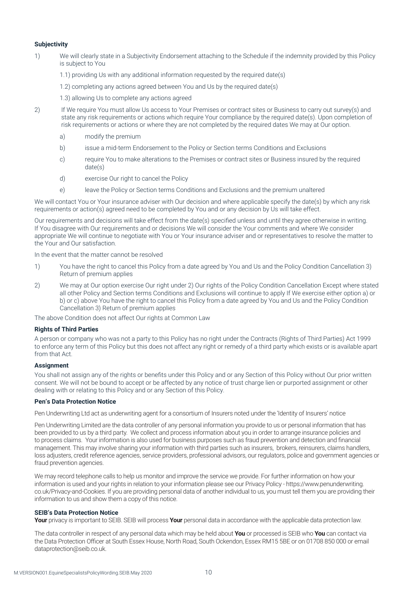#### **Subjectivity**

- 1) We will clearly state in a Subjectivity Endorsement attaching to the Schedule if the indemnity provided by this Policy is subject to You
	- 1.1) providing Us with any additional information requested by the required date(s)
	- 1.2) completing any actions agreed between You and Us by the required date(s)
	- 1.3) allowing Us to complete any actions agreed
- 2) If We require You must allow Us access to Your Premises or contract sites or Business to carry out survey(s) and state any risk requirements or actions which require Your compliance by the required date(s). Upon completion of risk requirements or actions or where they are not completed by the required dates We may at Our option.
	- a) modify the premium
	- b) issue a mid-term Endorsement to the Policy or Section terms Conditions and Exclusions
	- c) require You to make alterations to the Premises or contract sites or Business insured by the required date(s)
	- d) exercise Our right to cancel the Policy
	- e) leave the Policy or Section terms Conditions and Exclusions and the premium unaltered

We will contact You or Your insurance adviser with Our decision and where applicable specify the date(s) by which any risk requirements or action(s) agreed need to be completed by You and or any decision by Us will take effect.

Our requirements and decisions will take effect from the date(s) specified unless and until they agree otherwise in writing. If You disagree with Our requirements and or decisions We will consider the Your comments and where We consider appropriate We will continue to negotiate with You or Your insurance adviser and or representatives to resolve the matter to the Your and Our satisfaction.

In the event that the matter cannot be resolved

- 1) You have the right to cancel this Policy from a date agreed by You and Us and the Policy Condition Cancellation 3) Return of premium applies
- 2) We may at Our option exercise Our right under 2) Our rights of the Policy Condition Cancellation Except where stated all other Policy and Section terms Conditions and Exclusions will continue to apply If We exercise either option a) or b) or c) above You have the right to cancel this Policy from a date agreed by You and Us and the Policy Condition Cancellation 3) Return of premium applies

The above Condition does not affect Our rights at Common Law

#### **Rights of Third Parties**

A person or company who was not a party to this Policy has no right under the Contracts (Rights of Third Parties) Act 1999 to enforce any term of this Policy but this does not affect any right or remedy of a third party which exists or is available apart from that Act.

#### **Assignment**

You shall not assign any of the rights or benefits under this Policy and or any Section of this Policy without Our prior written consent. We will not be bound to accept or be affected by any notice of trust charge lien or purported assignment or other dealing with or relating to this Policy and or any Section of this Policy.

#### **Pen's Data Protection Notice**

Pen Underwriting Ltd act as underwriting agent for a consortium of Insurers noted under the 'Identity of Insurers' notice

Pen Underwriting Limited are the data controller of any personal information you provide to us or personal information that has been provided to us by a third party. We collect and process information about you in order to arrange insurance policies and to process claims. Your information is also used for business purposes such as fraud prevention and detection and financial management. This may involve sharing your information with third parties such as insurers, brokers, reinsurers, claims handlers, loss adjusters, credit reference agencies, service providers, professional advisors, our regulators, police and government agencies or fraud prevention agencies.

We may record telephone calls to help us monitor and improve the service we provide. For further information on how your information is used and your rights in relation to your information please see our Privacy Policy - https://www.penunderwriting. co.uk/Privacy-and-Cookies. If you are providing personal data of another individual to us, you must tell them you are providing their information to us and show them a copy of this notice.

#### **SEIB's Data Protection Notice**

**Your** privacy is important to SEIB. SEIB will process **Your** personal data in accordance with the applicable data protection law.

The data controller in respect of any personal data which may be held about **You** or processed is SEIB who **You** can contact via the Data Protection Officer at South Essex House, North Road, South Ockendon, Essex RM15 5BE or on 01708 850 000 or email dataprotection@seib.co.uk.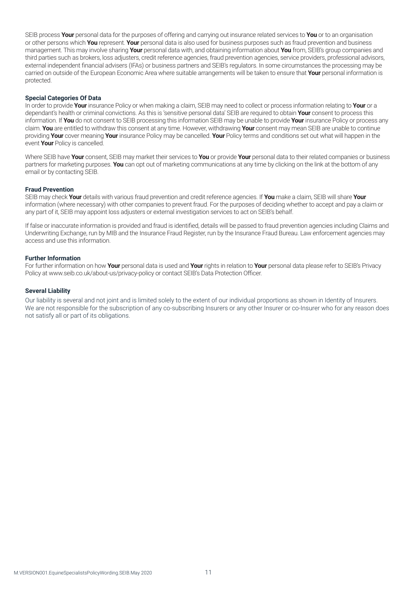SEIB process **Your** personal data for the purposes of offering and carrying out insurance related services to **You** or to an organisation or other persons which **You** represent. **Your** personal data is also used for business purposes such as fraud prevention and business management. This may involve sharing **Your** personal data with, and obtaining information about **You** from, SEIB's group companies and third parties such as brokers, loss adjusters, credit reference agencies, fraud prevention agencies, service providers, professional advisors, external independent financial advisers (IFAs) or business partners and SEIB's regulators. In some circumstances the processing may be carried on outside of the European Economic Area where suitable arrangements will be taken to ensure that **Your** personal information is protected.

#### **Special Categories Of Data**

In order to provide **Your** insurance Policy or when making a claim, SEIB may need to collect or process information relating to **Your** or a dependant's health or criminal convictions. As this is 'sensitive personal data' SEIB are required to obtain **Your** consent to process this information. If **You** do not consent to SEIB processing this information SEIB may be unable to provide **Your** insurance Policy or process any claim. **You** are entitled to withdraw this consent at any time. However, withdrawing **Your** consent may mean SEIB are unable to continue providing **Your** cover meaning **Your** insurance Policy may be cancelled. **Your** Policy terms and conditions set out what will happen in the event **Your** Policy is cancelled.

Where SEIB have **Your** consent, SEIB may market their services to **You** or provide **Your** personal data to their related companies or business partners for marketing purposes. **You** can opt out of marketing communications at any time by clicking on the link at the bottom of any email or by contacting SEIB.

# **Fraud Prevention**

SEIB may check **Your** details with various fraud prevention and credit reference agencies. If **You** make a claim, SEIB will share **Your** information (where necessary) with other companies to prevent fraud. For the purposes of deciding whether to accept and pay a claim or any part of it, SEIB may appoint loss adjusters or external investigation services to act on SEIB's behalf.

If false or inaccurate information is provided and fraud is identified, details will be passed to fraud prevention agencies including Claims and Underwriting Exchange, run by MIB and the Insurance Fraud Register, run by the Insurance Fraud Bureau. Law enforcement agencies may access and use this information.

#### **Further Information**

For further information on how **Your** personal data is used and **Your** rights in relation to **Your** personal data please refer to SEIB's Privacy Policy at www.seib.co.uk/about-us/privacy-policy or contact SEIB's Data Protection Officer.

#### **Several Liability**

Our liability is several and not joint and is limited solely to the extent of our individual proportions as shown in Identity of Insurers. We are not responsible for the subscription of any co-subscribing Insurers or any other Insurer or co-Insurer who for any reason does not satisfy all or part of its obligations.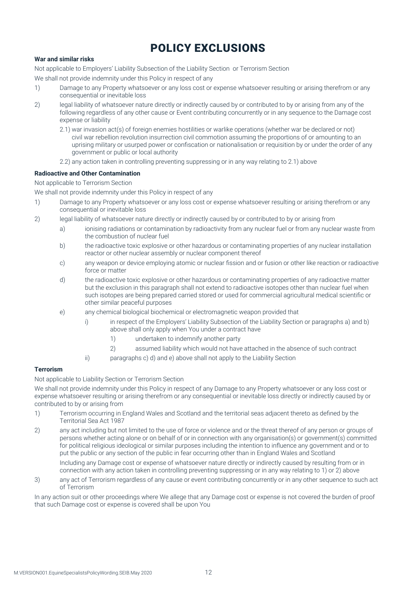# POLICY EXCLUSIONS

# **War and similar risks**

Not applicable to Employers' Liability Subsection of the Liability Section or Terrorism Section

We shall not provide indemnity under this Policy in respect of any

- 1) Damage to any Property whatsoever or any loss cost or expense whatsoever resulting or arising therefrom or any consequential or inevitable loss
- 2) legal liability of whatsoever nature directly or indirectly caused by or contributed to by or arising from any of the following regardless of any other cause or Event contributing concurrently or in any sequence to the Damage cost expense or liability
	- 2.1) war invasion act(s) of foreign enemies hostilities or warlike operations (whether war be declared or not) civil war rebellion revolution insurrection civil commotion assuming the proportions of or amounting to an uprising military or usurped power or confiscation or nationalisation or requisition by or under the order of any government or public or local authority
	- 2.2) any action taken in controlling preventing suppressing or in any way relating to 2.1) above

# **Radioactive and Other Contamination**

Not applicable to Terrorism Section

We shall not provide indemnity under this Policy in respect of any

- 1) Damage to any Property whatsoever or any loss cost or expense whatsoever resulting or arising therefrom or any consequential or inevitable loss
- 2) legal liability of whatsoever nature directly or indirectly caused by or contributed to by or arising from
	- a) ionising radiations or contamination by radioactivity from any nuclear fuel or from any nuclear waste from the combustion of nuclear fuel
	- b) the radioactive toxic explosive or other hazardous or contaminating properties of any nuclear installation reactor or other nuclear assembly or nuclear component thereof
	- c) any weapon or device employing atomic or nuclear fission and or fusion or other like reaction or radioactive force or matter
	- d) the radioactive toxic explosive or other hazardous or contaminating properties of any radioactive matter but the exclusion in this paragraph shall not extend to radioactive isotopes other than nuclear fuel when such isotopes are being prepared carried stored or used for commercial agricultural medical scientific or other similar peaceful purposes
	- e) any chemical biological biochemical or electromagnetic weapon provided that
		- i) in respect of the Employers' Liability Subsection of the Liability Section or paragraphs a) and b) above shall only apply when You under a contract have
			- 1) undertaken to indemnify another party
			- 2) assumed liability which would not have attached in the absence of such contract
		- ii) paragraphs c) d) and e) above shall not apply to the Liability Section

# **Terrorism**

Not applicable to Liability Section or Terrorism Section

We shall not provide indemnity under this Policy in respect of any Damage to any Property whatsoever or any loss cost or expense whatsoever resulting or arising therefrom or any consequential or inevitable loss directly or indirectly caused by or contributed to by or arising from

- 1) Terrorism occurring in England Wales and Scotland and the territorial seas adjacent thereto as defined by the Territorial Sea Act 1987
- 2) any act including but not limited to the use of force or violence and or the threat thereof of any person or groups of persons whether acting alone or on behalf of or in connection with any organisation(s) or government(s) committed for political religious ideological or similar purposes including the intention to influence any government and or to put the public or any section of the public in fear occurring other than in England Wales and Scotland

Including any Damage cost or expense of whatsoever nature directly or indirectly caused by resulting from or in connection with any action taken in controlling preventing suppressing or in any way relating to 1) or 2) above

3) any act of Terrorism regardless of any cause or event contributing concurrently or in any other sequence to such act of Terrorism

In any action suit or other proceedings where We allege that any Damage cost or expense is not covered the burden of proof that such Damage cost or expense is covered shall be upon You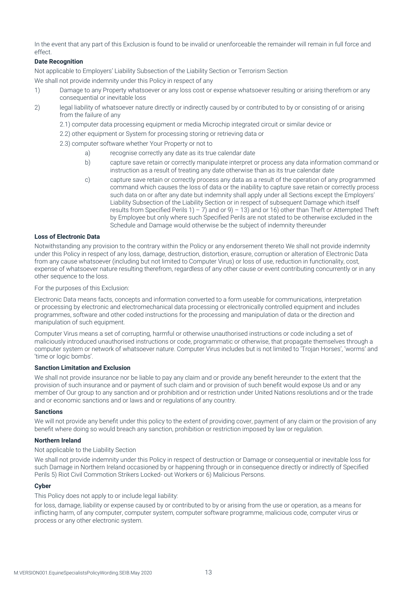In the event that any part of this Exclusion is found to be invalid or unenforceable the remainder will remain in full force and effect.

### **Date Recognition**

Not applicable to Employers' Liability Subsection of the Liability Section or Terrorism Section We shall not provide indemnity under this Policy in respect of any

- 1) Damage to any Property whatsoever or any loss cost or expense whatsoever resulting or arising therefrom or any consequential or inevitable loss
- 2) legal liability of whatsoever nature directly or indirectly caused by or contributed to by or consisting of or arising from the failure of any
	- 2.1) computer data processing equipment or media Microchip integrated circuit or similar device or
	- 2.2) other equipment or System for processing storing or retrieving data or
	- 2.3) computer software whether Your Property or not to
		- a) recognise correctly any date as its true calendar date
		- b) capture save retain or correctly manipulate interpret or process any data information command or instruction as a result of treating any date otherwise than as its true calendar date
		- c) capture save retain or correctly process any data as a result of the operation of any programmed command which causes the loss of data or the inability to capture save retain or correctly process such data on or after any date but indemnity shall apply under all Sections except the Employers' Liability Subsection of the Liability Section or in respect of subsequent Damage which itself results from Specified Perils  $1) - 7$ ) and or  $9) - 13$ ) and or 16) other than Theft or Attempted Theft by Employee but only where such Specified Perils are not stated to be otherwise excluded in the Schedule and Damage would otherwise be the subject of indemnity thereunder

#### **Loss of Electronic Data**

Notwithstanding any provision to the contrary within the Policy or any endorsement thereto We shall not provide indemnity under this Policy in respect of any loss, damage, destruction, distortion, erasure, corruption or alteration of Electronic Data from any cause whatsoever (including but not limited to Computer Virus) or loss of use, reduction in functionality, cost, expense of whatsoever nature resulting therefrom, regardless of any other cause or event contributing concurrently or in any other sequence to the loss.

For the purposes of this Exclusion:

Electronic Data means facts, concepts and information converted to a form useable for communications, interpretation or processing by electronic and electromechanical data processing or electronically controlled equipment and includes programmes, software and other coded instructions for the processing and manipulation of data or the direction and manipulation of such equipment.

Computer Virus means a set of corrupting, harmful or otherwise unauthorised instructions or code including a set of maliciously introduced unauthorised instructions or code, programmatic or otherwise, that propagate themselves through a computer system or network of whatsoever nature. Computer Virus includes but is not limited to 'Trojan Horses', 'worms' and 'time or logic bombs'.

#### **Sanction Limitation and Exclusion**

We shall not provide insurance nor be liable to pay any claim and or provide any benefit hereunder to the extent that the provision of such insurance and or payment of such claim and or provision of such benefit would expose Us and or any member of Our group to any sanction and or prohibition and or restriction under United Nations resolutions and or the trade and or economic sanctions and or laws and or regulations of any country.

#### **Sanctions**

We will not provide any benefit under this policy to the extent of providing cover, payment of any claim or the provision of any benefit where doing so would breach any sanction, prohibition or restriction imposed by law or regulation.

#### **Northern Ireland**

Not applicable to the Liability Section

We shall not provide indemnity under this Policy in respect of destruction or Damage or consequential or inevitable loss for such Damage in Northern Ireland occasioned by or happening through or in consequence directly or indirectly of Specified Perils 5) Riot Civil Commotion Strikers Locked- out Workers or 6) Malicious Persons.

#### **Cyber**

This Policy does not apply to or include legal liability:

for loss, damage, liability or expense caused by or contributed to by or arising from the use or operation, as a means for inflicting harm, of any computer, computer system, computer software programme, malicious code, computer virus or process or any other electronic system.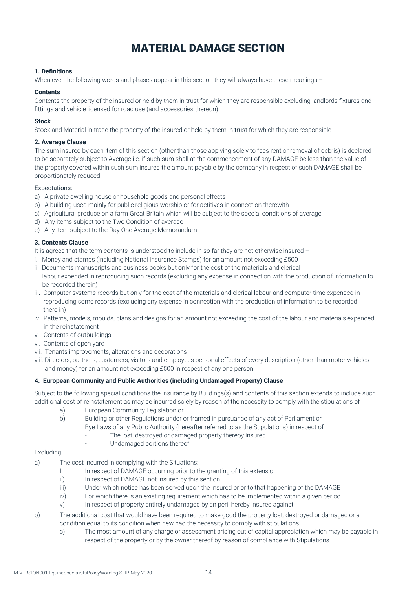# MATERIAL DAMAGE SECTION

# **1. Definitions**

When ever the following words and phases appear in this section they will always have these meanings -

#### **Contents**

Contents the property of the insured or held by them in trust for which they are responsible excluding landlords fixtures and fittings and vehicle licensed for road use (and accessories thereon)

#### **Stock**

Stock and Material in trade the property of the insured or held by them in trust for which they are responsible

# **2. Average Clause**

The sum insured by each item of this section (other than those applying solely to fees rent or removal of debris) is declared to be separately subject to Average i.e. if such sum shall at the commencement of any DAMAGE be less than the value of the property covered within such sum insured the amount payable by the company in respect of such DAMAGE shall be proportionately reduced

# Expectations:

- a) A private dwelling house or household goods and personal effects
- b) A building used mainly for public religious worship or for actitives in connection therewith
- c) Agricultural produce on a farm Great Britain which will be subject to the special conditions of average
- d) Any items subject to the Two Condition of average
- e) Any item subject to the Day One Average Memorandum

# **3. Contents Clause**

It is agreed that the term contents is understood to include in so far they are not otherwise insured -

- i. Money and stamps (including National Insurance Stamps) for an amount not exceeding £500
- ii. Documents manuscripts and business books but only for the cost of the materials and clerical labour expended in reproducing such records (excluding any expense in connection with the production of information to be recorded therein)
- iii. Computer systems records but only for the cost of the materials and clerical labour and computer time expended in reproducing some records (excluding any expense in connection with the production of information to be recorded there in)
- iv. Patterns, models, moulds, plans and designs for an amount not exceeding the cost of the labour and materials expended in the reinstatement
- v. Contents of outbuildings
- vi. Contents of open yard
- vii. Tenants improvements, alterations and decorations
- viii. Directors, partners, customers, visitors and employees personal effects of every description (other than motor vehicles and money) for an amount not exceeding £500 in respect of any one person

# **4. European Community and Public Authorities (including Undamaged Property) Clause**

Subject to the following special conditions the insurance by Buildings(s) and contents of this section extends to include such additional cost of reinstatement as may be incurred solely by reason of the necessity to comply with the stipulations of

- a) European Community Legislation or
- b) Building or other Regulations under or framed in pursuance of any act of Parliament or
	- Bye Laws of any Public Authority (hereafter referred to as the Stipulations) in respect of
		- The lost, destroyed or damaged property thereby insured
			- Undamaged portions thereof

#### Excluding

- a) The cost incurred in complying with the Situations:
	- I. In respect of DAMAGE occurring prior to the granting of this extension
	- ii) In respect of DAMAGE not insured by this section
	- iii) Under which notice has been served upon the insured prior to that happening of the DAMAGE
	- iv) For which there is an existing requirement which has to be implemented within a given period
	- v) In respect of property entirely undamaged by an peril hereby insured against
- b) The additional cost that would have been required to make good the property lost, destroyed or damaged or a condition equal to its condition when new had the necessity to comply with stipulations
	- c) The most amount of any charge or assessment arising out of capital appreciation which may be payable in respect of the property or by the owner thereof by reason of compliance with Stipulations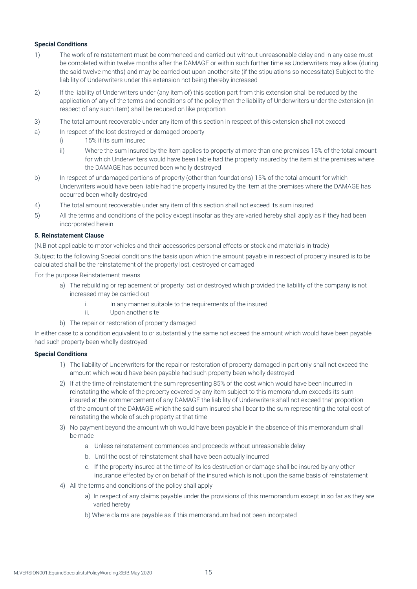#### **Special Conditions**

- 1) The work of reinstatement must be commenced and carried out without unreasonable delay and in any case must be completed within twelve months after the DAMAGE or within such further time as Underwriters may allow (during the said twelve months) and may be carried out upon another site (if the stipulations so necessitate) Subject to the liability of Underwriters under this extension not being thereby increased
- 2) If the liability of Underwriters under (any item of) this section part from this extension shall be reduced by the application of any of the terms and conditions of the policy then the liability of Underwriters under the extension (in respect of any such item) shall be reduced on like proportion
- 3) The total amount recoverable under any item of this section in respect of this extension shall not exceed
- a) In respect of the lost destroyed or damaged property
	- i) 15% if its sum Insured
		- ii) Where the sum insured by the item applies to property at more than one premises 15% of the total amount for which Underwriters would have been liable had the property insured by the item at the premises where the DAMAGE has occurred been wholly destroyed
- b) In respect of undamaged portions of property (other than foundations) 15% of the total amount for which Underwriters would have been liable had the property insured by the item at the premises where the DAMAGE has occurred been wholly destroyed
- 4) The total amount recoverable under any item of this section shall not exceed its sum insured
- 5) All the terms and conditions of the policy except insofar as they are varied hereby shall apply as if they had been incorporated herein

#### **5. Reinstatement Clause**

(N.B not applicable to motor vehicles and their accessories personal effects or stock and materials in trade)

Subject to the following Special conditions the basis upon which the amount payable in respect of property insured is to be calculated shall be the reinstatement of the property lost, destroyed or damaged

For the purpose Reinstatement means

- a) The rebuilding or replacement of property lost or destroyed which provided the liability of the company is not increased may be carried out
	- i. In any manner suitable to the requirements of the insured
	- ii. Upon another site
- b) The repair or restoration of property damaged

In either case to a condition equivalent to or substantially the same not exceed the amount which would have been payable had such property been wholly destroyed

# **Special Conditions**

- 1) The liability of Underwriters for the repair or restoration of property damaged in part only shall not exceed the amount which would have been payable had such property been wholly destroyed
- 2) If at the time of reinstatement the sum representing 85% of the cost which would have been incurred in reinstating the whole of the property covered by any item subject to this memorandum exceeds its sum insured at the commencement of any DAMAGE the liability of Underwriters shall not exceed that proportion of the amount of the DAMAGE which the said sum insured shall bear to the sum representing the total cost of reinstating the whole of such property at that time
- 3) No payment beyond the amount which would have been payable in the absence of this memorandum shall be made
	- a. Unless reinstatement commences and proceeds without unreasonable delay
	- b. Until the cost of reinstatement shall have been actually incurred
	- c. If the property insured at the time of its los destruction or damage shall be insured by any other insurance effected by or on behalf of the insured which is not upon the same basis of reinstatement
- 4) All the terms and conditions of the policy shall apply
	- a) In respect of any claims payable under the provisions of this memorandum except in so far as they are varied hereby
	- b) Where claims are payable as if this memorandum had not been incorpated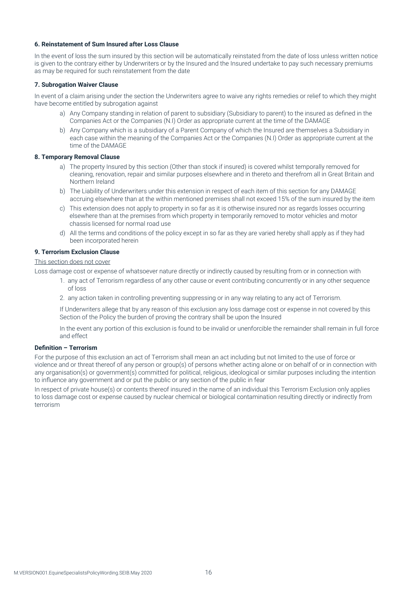#### **6. Reinstatement of Sum Insured after Loss Clause**

In the event of loss the sum insured by this section will be automatically reinstated from the date of loss unless written notice is given to the contrary either by Underwriters or by the Insured and the Insured undertake to pay such necessary premiums as may be required for such reinstatement from the date

#### **7. Subrogation Waiver Clause**

In event of a claim arising under the section the Underwriters agree to waive any rights remedies or relief to which they might have become entitled by subrogation against

- a) Any Company standing in relation of parent to subsidiary (Subsidiary to parent) to the insured as defined in the Companies Act or the Companies (N.I) Order as appropriate current at the time of the DAMAGE
- b) Any Company which is a subsidiary of a Parent Company of which the Insured are themselves a Subsidiary in each case within the meaning of the Companies Act or the Companies (N.I) Order as appropriate current at the time of the DAMAGE

#### **8. Temporary Removal Clause**

- a) The property Insured by this section (Other than stock if insured) is covered whilst temporally removed for cleaning, renovation, repair and similar purposes elsewhere and in thereto and therefrom all in Great Britain and Northern Ireland
- b) The Liability of Underwriters under this extension in respect of each item of this section for any DAMAGE accruing elsewhere than at the within mentioned premises shall not exceed 15% of the sum insured by the item
- c) This extension does not apply to property in so far as it is otherwise insured nor as regards losses occurring elsewhere than at the premises from which property in temporarily removed to motor vehicles and motor chassis licensed for normal road use
- d) All the terms and conditions of the policy except in so far as they are varied hereby shall apply as if they had been incorporated herein

# **9. Terrorism Exclusion Clause**

#### This section does not cover

Loss damage cost or expense of whatsoever nature directly or indirectly caused by resulting from or in connection with

- 1. any act of Terrorism regardless of any other cause or event contributing concurrently or in any other sequence of loss
- 2. any action taken in controlling preventing suppressing or in any way relating to any act of Terrorism.

If Underwriters allege that by any reason of this exclusion any loss damage cost or expense in not covered by this Section of the Policy the burden of proving the contrary shall be upon the Insured

In the event any portion of this exclusion is found to be invalid or unenforcible the remainder shall remain in full force and effect

#### **Definition – Terrorism**

For the purpose of this exclusion an act of Terrorism shall mean an act including but not limited to the use of force or violence and or threat thereof of any person or group(s) of persons whether acting alone or on behalf of or in connection with any organisation(s) or government(s) committed for political, religious, ideological or similar purposes including the intention to influence any government and or put the public or any section of the public in fear

In respect of private house(s) or contents thereof insured in the name of an individual this Terrorism Exclusion only applies to loss damage cost or expense caused by nuclear chemical or biological contamination resulting directly or indirectly from terrorism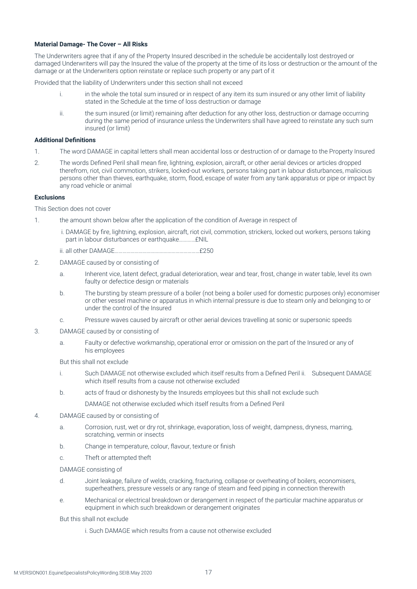# **Material Damage- The Cover – All Risks**

The Underwriters agree that if any of the Property Insured described in the schedule be accidentally lost destroyed or damaged Underwriters will pay the Insured the value of the property at the time of its loss or destruction or the amount of the damage or at the Underwriters option reinstate or replace such property or any part of it

Provided that the liability of Underwriters under this section shall not exceed

- i. in the whole the total sum insured or in respect of any item its sum insured or any other limit of liability stated in the Schedule at the time of loss destruction or damage
- ii. the sum insured (or limit) remaining after deduction for any other loss, destruction or damage occurring during the same period of insurance unless the Underwriters shall have agreed to reinstate any such sum insured (or limit)

#### **Additional Definitions**

- 1. The word DAMAGE in capital letters shall mean accidental loss or destruction of or damage to the Property Insured
- 2. The words Defined Peril shall mean fire, lightning, explosion, aircraft, or other aerial devices or articles dropped therefrom, riot, civil commotion, strikers, locked-out workers, persons taking part in labour disturbances, malicious persons other than thieves, earthquake, storm, flood, escape of water from any tank apparatus or pipe or impact by any road vehicle or animal

# **Exclusions**

This Section does not cover

- 1. the amount shown below after the application of the condition of Average in respect of
	- i. DAMAGE by fire, lightning, explosion, aircraft, riot civil, commotion, strickers, locked out workers, persons taking part in labour disturbances or earthquake…………£NIL
	- ii. all other DAMAGE………………………………………………………£250
- 2. DAMAGE caused by or consisting of
	- a. Inherent vice, latent defect, gradual deterioration, wear and tear, frost, change in water table, level its own faulty or defectice design or materials
	- b. The bursting by steam pressure of a boiler (not being a boiler used for domestic purposes only) economiser or other vessel machine or apparatus in which internal pressure is due to steam only and belonging to or under the control of the Insured
	- c. Pressure waves caused by aircraft or other aerial devices travelling at sonic or supersonic speeds
- 3. DAMAGE caused by or consisting of
	- a. Faulty or defective workmanship, operational error or omission on the part of the Insured or any of his employees

But this shall not exclude

- i. Such DAMAGE not otherwise excluded which itself results from a Defined Peril ii. Subsequent DAMAGE which itself results from a cause not otherwise excluded
- b. acts of fraud or dishonesty by the Insureds employees but this shall not exclude such

DAMAGE not otherwise excluded which itself results from a Defined Peril

- 4. DAMAGE caused by or consisting of
	- a. Corrosion, rust, wet or dry rot, shrinkage, evaporation, loss of weight, dampness, dryness, marring, scratching, vermin or insects
	- b. Change in temperature, colour, flavour, texture or finish
	- c. Theft or attempted theft

DAMAGE consisting of

- d. Joint leakage, failure of welds, cracking, fracturing, collapse or overheating of boilers, economisers, superheathers, pressure vessels or any range of steam and feed piping in connection therewith
- e. Mechanical or electrical breakdown or derangement in respect of the particular machine apparatus or equipment in which such breakdown or derangement originates

But this shall not exclude

i. Such DAMAGE which results from a cause not otherwise excluded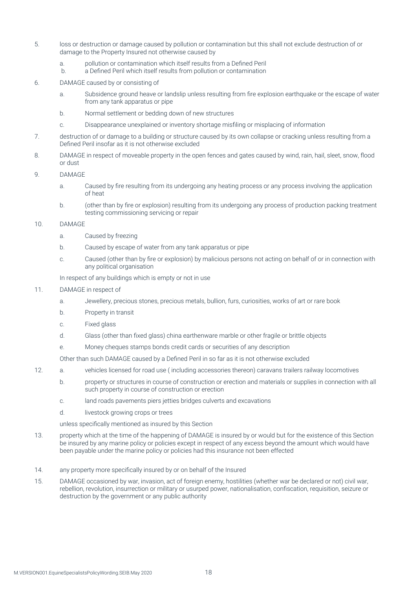- 5. loss or destruction or damage caused by pollution or contamination but this shall not exclude destruction of or damage to the Property Insured not otherwise caused by
	- a. pollution or contamination which itself results from a Defined Peril
	- b. a Defined Peril which itself results from pollution or contamination
- 6. DAMAGE caused by or consisting of
	- a. Subsidence ground heave or landslip unless resulting from fire explosion earthquake or the escape of water from any tank apparatus or pipe
	- b. Normal settlement or bedding down of new structures
	- c. Disappearance unexplained or inventory shortage misfiling or misplacing of information
- 7. destruction of or damage to a building or structure caused by its own collapse or cracking unless resulting from a Defined Peril insofar as it is not otherwise excluded
- 8. DAMAGE in respect of moveable property in the open fences and gates caused by wind, rain, hail, sleet, snow, flood or dust
- 9. DAMAGE
	- a. Caused by fire resulting from its undergoing any heating process or any process involving the application of heat
	- b. (other than by fire or explosion) resulting from its undergoing any process of production packing treatment testing commissioning servicing or repair

#### 10. DAMAGE

- a. Caused by freezing
- b. Caused by escape of water from any tank apparatus or pipe
- c. Caused (other than by fire or explosion) by malicious persons not acting on behalf of or in connection with any political organisation

In respect of any buildings which is empty or not in use

#### 11. DAMAGE in respect of

- a. Jewellery, precious stones, precious metals, bullion, furs, curiosities, works of art or rare book
- b. Property in transit
- c. Fixed glass
- d. Glass (other than fixed glass) china earthenware marble or other fragile or brittle objects
- e. Money cheques stamps bonds credit cards or securities of any description

Other than such DAMAGE caused by a Defined Peril in so far as it is not otherwise excluded

- 12. a. vehicles licensed for road use ( including accessories thereon) caravans trailers railway locomotives
	- b. property or structures in course of construction or erection and materials or supplies in connection with all such property in course of construction or erection
	- c. land roads pavements piers jetties bridges culverts and excavations
	- d. livestock growing crops or trees

unless specifically mentioned as insured by this Section

- 13. property which at the time of the happening of DAMAGE is insured by or would but for the existence of this Section be insured by any marine policy or policies except in respect of any excess beyond the amount which would have been payable under the marine policy or policies had this insurance not been effected
- 14. any property more specifically insured by or on behalf of the Insured
- 15. DAMAGE occasioned by war, invasion, act of foreign enemy, hostilities (whether war be declared or not) civil war, rebellion, revolution, insurrection or military or usurped power, nationalisation, confiscation, requisition, seizure or destruction by the government or any public authority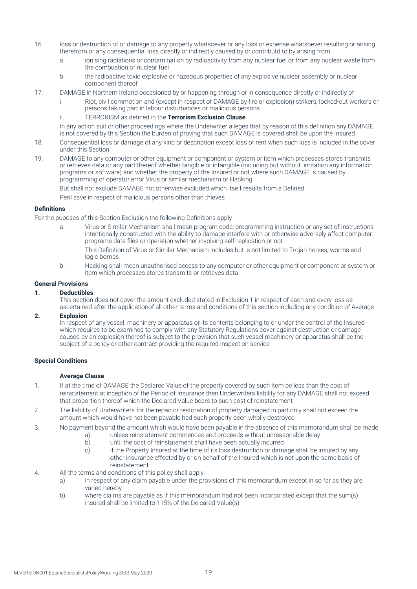- 16. loss or destruction of or damage to any property whatsoever or any loss or expense whatsoever resulting or arising therefrom or any consequential loss directly or indirectly caused by or contributd to by arising from
	- a. ionising radiations or contamination by radioactivity from any nuclear fuel or from any nuclear waste from the combustion of nuclear fuel
	- b. the radioactive toxic explosive or hazedous properties of any explosive nuclear assembly or nuclear component thereof
- 17. DAMAGE in Northern Ireland occasioned by or happening through or in consequence directly or indirectly of
	- i. Riot, civil commotion and (except in respect of DAMAGE by fire or explosion) strikers, locked-out workers or persons taking part in labour disturbances or malicious persons
	- ii. TERRORISM as defined in the **Terrorism Exclusion Clause**

In any action suit or other proceedings where the Underwriter alleges that by reason of this definition any DAMAGE is not covered by this Section the burden of proving that such DAMAGE is covered shall be upon the Insured

- 18. Consequential loss or damage of any kind or description except loss of rent when such loss is included in the cover under this Section
- 19. DAMAGE to any computer or other equipment or component or system or item which processes stores transmits or retrieves data or any part thereof whether tangible or intangible (including but without limitation any information programs or software) and whether the property of the Insured or not where such DAMAGE is caused by programming or operator error Virus or similar mechanism or Hacking

But shall not exclude DAMAGE not otherwise excluded which itself results from a Defined

Peril save in respect of malicious persons other than thieves

#### **Definitions**

For the puposes of this Section Exclusion the following Definitions apply

- a. Virus or Similar Mechanism shall mean program code, programming instruction or any set of instructions intentionally constructed with the ability to damage interfere with or otherwise adversely affect computer programs data files or operation whether involving self-replication or not
	- This Definition of Virus or Similar Mechanism includes but is not limited to Trojan horses, worms and logic bombs
- b. Hacking shall mean unauthorised access to any computer or other equipment or component or system or item which processes stores transmits or retrieves data

# **General Provisions**

# **1. Deductibles**

This section does not cover the amount excluded stated in Exclusion 1 in respect of each and every loss as ascertained after the applicationof all other terms and conditions of this section including any condition of Average

#### **2. Explosion**

In respect of any vessel, machinery or apparatus or its contents belonging to or under the control of the Insured which requires to be examined to comply with any Statutory Regulations cover against destruction or damage caused by an explosion thereof is subject to the provision that such vessel machinery or apparatus shall be the subject of a policy or other contract providing the required inspection service

#### **Special Conditions**

#### **Average Clause**

- 1. If at the time of DAMAGE the Declared Value of the property covered by such item be less than the cost of reinstatement at inception of the Period of Insurance then Underwriters liability for any DAMAGE shall not exceed that proportion thereof which the Declared Value bears to such cost of reinstatement
- 2. The liability of Underwriters for the repair or restoration of property damaged in part only shall not exceed the amount which would have not been payable had such property been wholly destroyed
- 3. No payment beyond the amount which would have been payable in the absence of this memorandum shall be made
	- a) unless reinstatement commences and proceeds without unreasonable delay<br>b) until the cost of reinstatement shall have been actually incurred
		- b) until the cost of reinstatement shall have been actually incurred
		- c) if the Property Insured at the time of its loss destruction or damage shall be insured by any other insurance effected by or on behalf of the Insured which is not upon the same basis of reinstatement
- 4. All the terms and conditions of this policy shall apply
	- a) in respect of any claim payable under the provisions of this memorandum except in so far as they are varied hereby
	- b) where claims are payable as if this memorandum had not been incorporated except that the sum(s) insured shall be limited to 115% of the Delcared Value(s)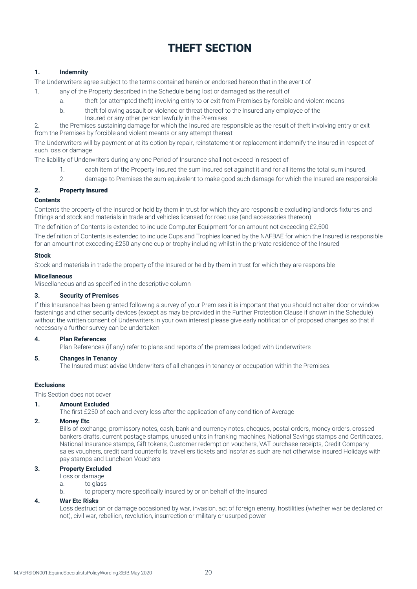# THEFT SECTION

# **1. Indemnity**

The Underwriters agree subject to the terms contained herein or endorsed hereon that in the event of

- 1. any of the Property described in the Schedule being lost or damaged as the result of
	- a. theft (or attempted theft) involving entry to or exit from Premises by forcible and violent means
	- b. theft following assault or violence or threat thereof to the Insured any employee of the Insured or any other person lawfully in the Premises

2. the Premises sustaining damage for which the Insured are responsible as the result of theft involving entry or exit from the Premises by forcible and violent meants or any attempt thereat

The Underwriters will by payment or at its option by repair, reinstatement or replacement indemnify the Insured in respect of such loss or damage

The liability of Underwriters during any one Period of Insurance shall not exceed in respect of

- 1. each item of the Property Insured the sum insured set against it and for all items the total sum insured.
- 2. damage to Premises the sum equivalent to make good such damage for which the Insured are responsible

#### 2. Property Insured

#### **Contents**

Contents the property of the Insured or held by them in trust for which they are responsible excluding landlords fixtures and fittings and stock and materials in trade and vehicles licensed for road use (and accessories thereon)

The definition of Contents is extended to include Computer Equipment for an amount not exceeding £2,500

The definition of Contents is extended to include Cups and Trophies loaned by the NAFBAE for which the Insured is responsible for an amount not exceeding £250 any one cup or trophy including whilst in the private residence of the Insured

#### **Stock**

Stock and materials in trade the property of the Insured or held by them in trust for which they are responsible

#### **Micellaneous**

Miscellaneous and as specified in the descriptive column

# **3. Security of Premises**

If this Insurance has been granted following a survey of your Premises it is important that you should not alter door or window fastenings and other security devices (except as may be provided in the Further Protection Clause if shown in the Schedule) without the written consent of Underwriters in your own interest please give early notification of proposed changes so that if necessary a further survey can be undertaken

#### **4. Plan References**

Plan References (if any) refer to plans and reports of the premises lodged with Underwriters

# **5. Changes in Tenancy**

The Insured must advise Underwriters of all changes in tenancy or occupation within the Premises.

#### **Exclusions**

This Section does not cover

#### **1. Amount Excluded**

The first £250 of each and every loss after the application of any condition of Average

# **2. Money Etc**

Bills of exchange, promissory notes, cash, bank and currency notes, cheques, postal orders, money orders, crossed bankers drafts, current postage stamps, unused units in franking machines, National Savings stamps and Certificates, National Insurance stamps, Gift tokens, Customer redemption vouchers, VAT purchase receipts, Credit Company sales vouchers, credit card counterfoils, travellers tickets and insofar as such are not otherwise insured Holidays with pay stamps and Luncheon Vouchers

# **3. Property Excluded**

Loss or damage

a. to glass

b. to property more specifically insured by or on behalf of the Insured

#### **4. War Etc Risks**

Loss destruction or damage occasioned by war, invasion, act of foreign enemy, hostilities (whether war be declared or not), civil war, rebeliion, revolution, insurrection or military or usurped power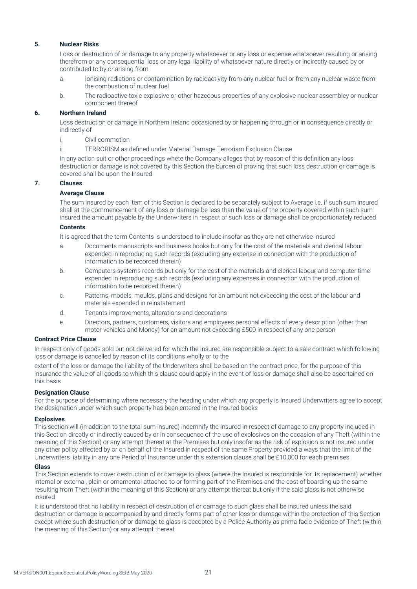#### **5. Nuclear Risks**

Loss or destruction of or damage to any property whatsoever or any loss or expense whatsoever resulting or arising therefrom or any consequential loss or any legal liability of whatsoever nature directly or indirectly caused by or contributed to by or arising from

- a. Ionising radiations or contamination by radioactivity from any nuclear fuel or from any nuclear waste from the combustion of nuclear fuel
- b. The radioactive toxic explosive or other hazedous properties of any explosive nuclear assembley or nuclear component thereof

# **6. Northern Ireland**

Loss destruction or damage in Northern Ireland occasioned by or happening through or in consequence directly or indirectly of

- i. Civil commotion
- ii. TERRORISM as defined under Material Damage Terrorism Exclusion Clause

In any action suit or other proceedings whete the Company alleges that by reason of this definition any loss destruction or damage is not covered by this Section the burden of proving that such loss destruction or damage is covered shall be upon the Insured

#### **7. Clauses**

#### **Average Clause**

The sum insured by each item of this Section is declared to be separately subject to Average i.e. if such sum insured shall at the commencement of any loss or damage be less than the value of the property covered within such sum insured the amount payable by the Underwriters in respect of such loss or damage shall be proportionately reduced

#### **Contents**

It is agreed that the term Contents is understood to include insofar as they are not otherwise insured

- a. Documents manuscripts and business books but only for the cost of the materials and clerical labour expended in reproducing such records (excluding any expense in connection with the production of information to be recorded therein)
- b. Computers systems records but only for the cost of the materials and clerical labour and computer time expended in reproducing such records (excluding any expenses in connection with the production of information to be recorded therein)
- c. Patterns, models, moulds, plans and designs for an amount not exceeding the cost of the labour and materials expended in reinstatement
- d. Tenants improvements, alterations and decorations
- e. Directors, partners, customers, visitors and employees personal effects of every description (other than motor vehicles and Money) for an amount not exceeding £500 in respect of any one person

#### **Contract Price Clause**

In respect only of goods sold but not delivered for which the Insured are responsible subject to a sale contract which following loss or damage is cancelled by reason of its conditions wholly or to the

extent of the loss or damage the liability of the Underwriters shall be based on the contract price, for the purpose of this insurance the value of all goods to which this clause could apply in the event of loss or damage shall also be ascertained on this basis

#### **Designation Clause**

For the purpose of determining where necessary the heading under which any property is Insured Underwriters agree to accept the designation under which such property has been entered in the Insured books

#### **Explosives**

This section will (in addition to the total sum insured) indemnify the Insured in respect of damage to any property included in this Section directly or indirectly caused by or in consequence of the use of explosives on the occasion of any Theft (within the meaning of this Section) or any attempt thereat at the Premises but only insofar as the risk of explosion is not insured under any other policy effected by or on behalf of the Insured in respect of the same Property provided always that the limit of the Underwriters liability in any one Period of Insurance under this extension clause shall be £10,000 for each premises

#### **Glass**

This Section extends to cover destruction of or damage to glass (where the Insured is responsible for its replacement) whether internal or external, plain or ornamental attached to or forming part of the Premises and the cost of boarding up the same resulting from Theft (within the meaning of this Section) or any attempt thereat but only if the said glass is not otherwise insured

It is understood that no liability in respect of destruction of or damage to such glass shall be insured unless the said destruction or damage is accompanied by and directly forms part of other loss or damage within the protection of this Section except where such destruction of or damage to glass is accepted by a Police Authority as prima facie evidence of Theft (within the meaning of this Section) or any attempt thereat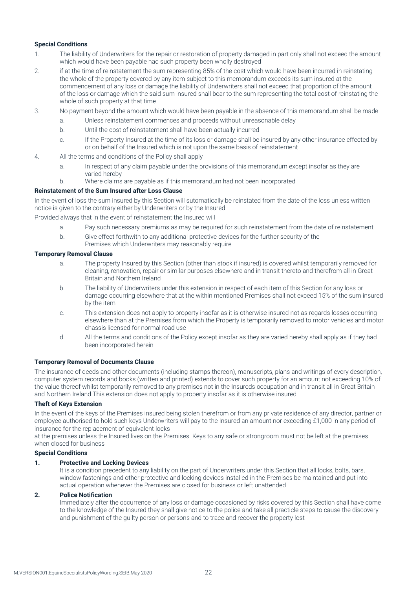#### **Special Conditions**

- 1. The liability of Underwriters for the repair or restoration of property damaged in part only shall not exceed the amount which would have been payable had such property been wholly destroyed
- 2. if at the time of reinstatement the sum representing 85% of the cost which would have been incurred in reinstating the whole of the property covered by any item subject to this memorandum exceeds its sum insured at the commencement of any loss or damage the liability of Underwriters shall not exceed that proportion of the amount of the loss or damage which the said sum insured shall bear to the sum representing the total cost of reinstating the whole of such property at that time
- 3. No payment beyond the amount which would have been payable in the absence of this memorandum shall be made
	- a. Unless reinstatement commences and proceeds without unreasonable delay
	- b. Until the cost of reinstatement shall have been actually incurred
	- c. If the Property Insured at the time of its loss or damage shall be insured by any other insurance effected by or on behalf of the Insured which is not upon the same basis of reinstatement
- 4. All the terms and conditions of the Policy shall apply
	- a. In respect of any claim payable under the provisions of this memorandum except insofar as they are varied hereby
	- b. Where claims are payable as if this memorandum had not been incorporated

#### **Reinstatement of the Sum Insured after Loss Clause**

In the event of loss the sum insured by this Section will sutomatically be reinstated from the date of the loss unless written notice is given to the contrary either by Underwriters or by the Insured

Provided always that in the event of reinstatement the Insured will

- a. Pay such necessary premiums as may be required for such reinstatement from the date of reinstatement
- b. Give effect forthwith to any additional protective devices for the further security of the
- Premises which Underwriters may reasonably require

# **Temporary Removal Clause**

- a. The property Insured by this Section (other than stock if insured) is covered whilst temporarily removed for cleaning, renovation, repair or similar purposes elsewhere and in transit thereto and therefrom all in Great Britain and Northern Ireland
- b. The liability of Underwriters under this extension in respect of each item of this Section for any loss or damage occurring elsewhere that at the within mentioned Premises shall not exceed 15% of the sum insured by the item
- c. This extension does not apply to property insofar as it is otherwise insured not as regards losses occurring elsewhere than at the Premises from which the Property is temporarily removed to motor vehicles and motor chassis licensed for normal road use
- d. All the terms and conditions of the Policy except insofar as they are varied hereby shall apply as if they had been incorporated herein

#### **Temporary Removal of Documents Clause**

The insurance of deeds and other documents (including stamps thereon), manuscripts, plans and writings of every description, computer system records and books (written and printed) extends to cover such property for an amount not exceeding 10% of the value thereof whilst temporarily removed to any premises not in the Insureds occupation and in transit all in Great Britain and Northern Ireland This extension does not apply to property insofar as it is otherwise insured

#### **Theft of Keys Extension**

In the event of the keys of the Premises insured being stolen therefrom or from any private residence of any director, partner or employee authorised to hold such keys Underwriters will pay to the Insured an amount nor exceeding £1,000 in any period of insurance for the replacement of equivalent locks

at the premises unless the Insured lives on the Premises. Keys to any safe or strongroom must not be left at the premises when closed for business

#### **Special Conditions**

#### **1. Protective and Locking Devices**

It is a condition precedent to any liability on the part of Underwriters under this Section that all locks, bolts, bars, window fastenings and other protective and locking devices installed in the Premises be maintained and put into actual operation whenever the Premises are closed for business or left unattended

#### **2. Police Notification**

Immediately after the occurrence of any loss or damage occasioned by risks covered by this Section shall have come to the knowledge of the Insured they shall give notice to the police and take all practicle steps to cause the discovery and punishment of the guilty person or persons and to trace and recover the property lost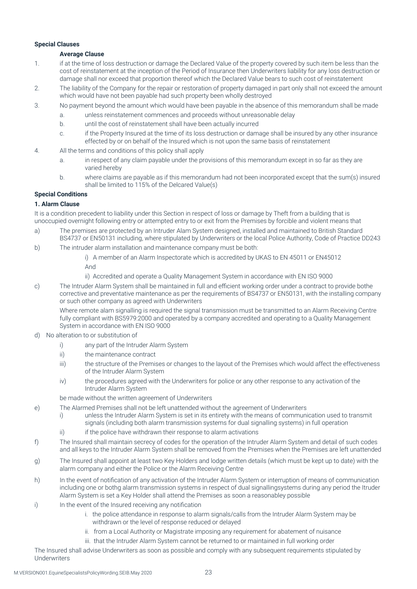#### **Special Clauses**

#### **Average Clause**

- 1. if at the time of loss destruction or damage the Declared Value of the property covered by such item be less than the cost of reinstatement at the inception of the Period of Insurance then Underwriters liability for any loss destruction or damage shall nor exceed that proportion thereof which the Declared Value bears to such cost of reinstatement
- 2. The liability of the Company for the repair or restoration of property damaged in part only shall not exceed the amount which would have not been payable had such property been wholly destroyed
- 3. No payment beyond the amount which would have been payable in the absence of this memorandum shall be made
	- a. unless reinstatement commences and proceeds without unreasonable delay
	- b. until the cost of reinstatement shall have been actually incurred
	- c. if the Property Insured at the time of its loss destruction or damage shall be insured by any other insurance effected by or on behalf of the Insured which is not upon the same basis of reinstatement
- 4. All the terms and conditions of this policy shall apply
	- a. in respect of any claim payable under the provisions of this memorandum except in so far as they are varied hereby
	- b. where claims are payable as if this memorandum had not been incorporated except that the sum(s) insured shall be limited to 115% of the Delcared Value(s)

# **Special Conditions**

#### **1. Alarm Clause**

It is a condition precedent to liability under this Section in respect of loss or damage by Theft from a building that is unoccupied overnight following entry or attempted entry to or exit from the Premises by forcible and violent means that

- a) The premises are protected by an Intruder Alam System designed, installed and maintained to British Standard BS4737 or EN50131 including, where stipulated by Underwriters or the local Police Authority, Code of Practice DD243
- b) The intruder alarm installation and maintenance company must be both:

i) A member of an Alarm Inspectorate which is accredited by UKAS to EN 45011 or EN45012

And

- ii) Accredited and operate a Quality Management System in accordance with EN ISO 9000
- c) The Intruder Alarm System shall be maintained in full and efficient working order under a contract to provide bothe corrective and preventative maintenance as per the requirements of BS4737 or EN50131, with the installing company or such other company as agreed with Underwriters

Where remote alam signalling is required the signal transmission must be transmitted to an Alarm Receiving Centre fully compliant with BS5979:2000 and operated by a company accredited and operating to a Quality Management System in accordance with EN ISO 9000

- d) No alteration to or substitution of
	- i) any part of the Intruder Alarm System
	- ii) the maintenance contract
	- iii) the structure of the Premises or changes to the layout of the Premises which would affect the effectiveness of the Intruder Alarm System
	- iv) the procedures agreed with the Underwriters for police or any other response to any activation of the Intruder Alarm System
	- be made without the written agreement of Underwriters
- e) The Alarmed Premises shall not be left unattended without the agreement of Underwriters
	- i) unless the Intruder Alarm System is set in its entirety with the means of communication used to transmit signals (including both alarm transmission systems for dual signalling systems) in full operation
	- ii) ii if the police have withdrawn their response to alarm activations
- f) The Insured shall maintain secrecy of codes for the operation of the Intruder Alarm System and detail of such codes and all keys to the Intruder Alarm System shall be removed from the Premises when the Premises are left unattended
- g) The Insured shall appoint at least two Key Holders and lodge written details (which must be kept up to date) with the alarm company and either the Police or the Alarm Receiving Centre
- h) In the event of notification of any activation of the Intruder Alarm System or interruption of means of communication including one or bothg alarm transmission systems in respect of dual signallingsystems during any period the Itruder Alarm System is set a Key Holder shall attend the Premises as soon a reasonabley possible
- i) In the event of the Insured receiving any notification
	- i. the police attendance in response to alarm signals/calls from the Intruder Alarm System may be withdrawn or the level of response reduced or delayed
	- ii. from a Local Authority or Magistrate imposing any requirement for abatement of nuisance
	- iii. that the Intruder Alarm System cannot be returned to or maintained in full working order

The Insured shall advise Underwriters as soon as possible and comply with any subsequent requirements stipulated by Underwriters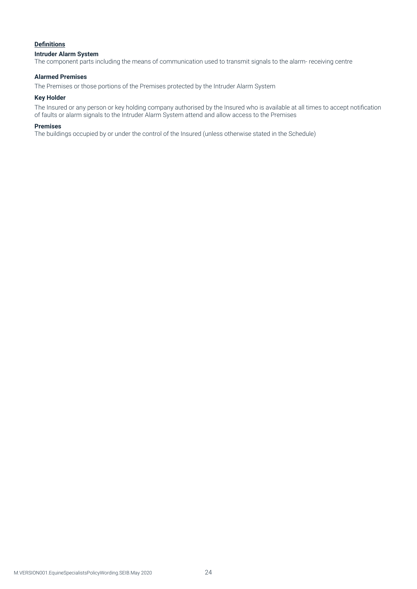# **Definitions**

# **Intruder Alarm System**

The component parts including the means of communication used to transmit signals to the alarm- receiving centre

#### **Alarmed Premises**

The Premises or those portions of the Premises protected by the Intruder Alarm System

#### **Key Holder**

The Insured or any person or key holding company authorised by the Insured who is available at all times to accept notification of faults or alarm signals to the Intruder Alarm System attend and allow access to the Premises

#### **Premises**

The buildings occupied by or under the control of the Insured (unless otherwise stated in the Schedule)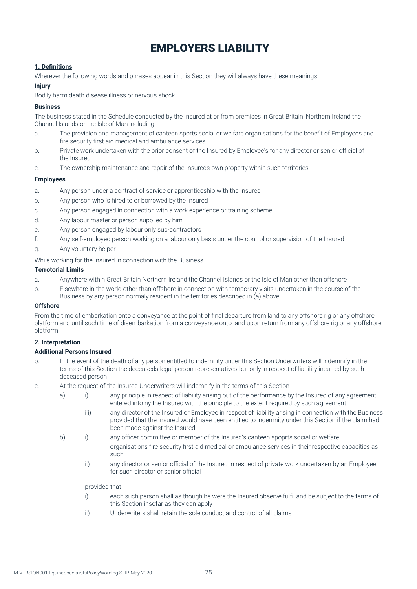# EMPLOYERS LIABILITY

# **1. Definitions**

Wherever the following words and phrases appear in this Section they will always have these meanings

# **Injury**

Bodily harm death disease illness or nervous shock

# **Business**

The business stated in the Schedule conducted by the Insured at or from premises in Great Britain, Northern Ireland the Channel Islands or the Isle of Man including

- a. The provision and management of canteen sports social or welfare organisations for the benefit of Employees and fire security first aid medical and ambulance services
- b. Private work undertaken with the prior consent of the Insured by Employee's for any director or senior official of the Insured
- c. The ownership maintenance and repair of the Insureds own property within such territories

# **Employees**

- a. Any person under a contract of service or apprenticeship with the Insured
- b. Any person who is hired to or borrowed by the Insured
- c. Any person engaged in connection with a work experience or training scheme
- d. Any labour master or person supplied by him
- e. Any person engaged by labour only sub-contractors
- f. Any self-employed person working on a labour only basis under the control or supervision of the Insured
- g. Any voluntary helper

While working for the Insured in connection with the Business

# **Terrotorial Limits**

- a. Anywhere within Great Britain Northern Ireland the Channel Islands or the Isle of Man other than offshore
- b. Elsewhere in the world other than offshore in connection with temporary visits undertaken in the course of the Business by any person normaly resident in the territories described in (a) above

# **Offshore**

From the time of embarkation onto a conveyance at the point of final departure from land to any offshore rig or any offshore platform and until such time of disembarkation from a conveyance onto land upon return from any offshore rig or any offshore platform

# **2. Interpretation**

# **Additional Persons Insured**

- b. In the event of the death of any person entitled to indemnity under this Section Underwriters will indemnify in the terms of this Section the deceaseds legal person representatives but only in respect of liability incurred by such deceased person
- c. At the request of the Insured Underwriters will indemnify in the terms of this Section
	- a) i) any principle in respect of liability arising out of the performance by the Insured of any agreement entered into ny the Insured with the principle to the extent required by such agreement
		- iii) any director of the Insured or Employee in respect of liability arising in connection with the Business provided that the Insured would have been entitled to indemnity under this Section if the claim had been made against the Insured
	- b) i) any officer committee or member of the Insured's canteen spoprts social or welfare organisations fire security first aid medical or ambulance services in their respective capacities as such
		- ii) any director or senior official of the Insured in respect of private work undertaken by an Employee for such director or senior official

# provided that

- i) each such person shall as though he were the Insured observe fulfil and be subject to the terms of this Section insofar as they can apply
- ii) Underwriters shall retain the sole conduct and control of all claims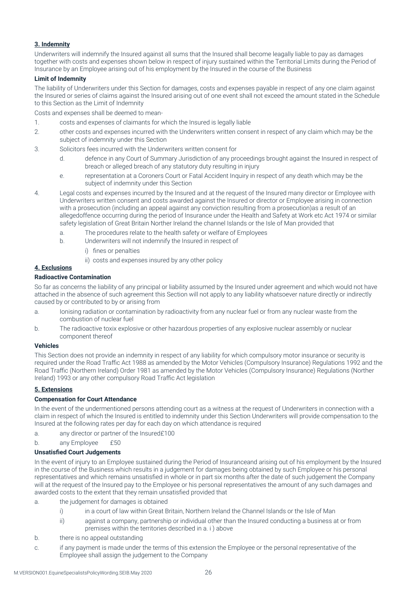# **3. Indemnity**

Underwriters will indemnify the Insured against all sums that the Insured shall become leagally liable to pay as damages together with costs and expenses shown below in respect of injury sustained within the Territorial Limits during the Period of Insurance by an Employee arising out of his employment by the Insured in the course of the Business

#### **Limit of Indemnity**

The liability of Underwriters under this Section for damages, costs and expenses payable in respect of any one claim against the Insured or series of claims against the Insured arising out of one event shall not exceed the amount stated in the Schedule to this Section as the Limit of Indemnity

Costs and expenses shall be deemed to mean-

- 1. costs and expenses of claimants for which the Insured is legally liable
- 2. other costs and expenses incurred with the Underwriters written consent in respect of any claim which may be the subject of indemnity under this Section
- 3. Solicitors fees incurred with the Underwriters written consent for
	- d. defence in any Court of Summary Jurisdiction of any proceedings brought against the Insured in respect of breach or alleged breach of any statutory duty resulting in injury
	- e. representation at a Coroners Court or Fatal Accident Inquiry in respect of any death which may be the subject of indemnity under this Section
- 4. Legal costs and expenses incurred by the Insured and at the request of the Insured many director or Employee with Underwriters written consent and costs awarded against the Insured or director or Employee arising in connection with a prosecution (including an appeal against any conviction resulting from a prosecution)as a result of an allegedoffence occurring during the period of Insurance under the Health and Safety at Work etc Act 1974 or similar safety legislation of Great Britain Norther Ireland the channel Islands or the Isle of Man provided that
	- a. The procedures relate to the health safety or welfare of Employees
	- b. Underwriters will not indemnify the Insured in respect of
		- i) fines or penalties
		- ii) costs and expenses insured by any other policy

# **4. Exclusions**

# **Radioactive Contamination**

So far as concerns the liability of any principal or liability assumed by the Insured under agreement and which would not have attached in the absence of such agreement this Section will not apply to any liability whatsoever nature directly or indirectly caused by or contributed to by or arising from

- a. Ionising radiation or contamination by radioactivity from any nuclear fuel or from any nuclear waste from the combustion of nuclear fuel
- b. The radioactive toxix explosive or other hazardous properties of any explosive nuclear assembly or nuclear component thereof

# **Vehicles**

This Section does not provide an indemnity in respect of any liability for which compulsory motor insurance or security is required under the Road Traffic Act 1988 as amended by the Motor Vehicles (Compulsory Insurance) Regulations 1992 and the Road Traffic (Northern Ireland) Order 1981 as amended by the Motor Vehicles (Compulsory Insurance) Regulations (Norther Ireland) 1993 or any other compulsory Road Traffic Act legislation

# **5. Extensions**

# **Compensation for Court Attendance**

In the event of the undermentioned persons attending court as a witness at the request of Underwriters in connection with a claim in respect of which the Insured is entitled to indemnity under this Section Underwriters will provide compensation to the Insured at the following rates per day for each day on which attendance is required

- a. any director or partner of the Insured£100
- b. any Employee £50
- **Unsatisfied Court Judgements**

In the event of injury to an Employee sustained during the Period of Insuranceand arising out of his employment by the Insured in the course of the Business which results in a judgement for damages being obtained by such Employee or his personal representatives and which remains unsatisfied in whole or in part six months after the date of such judgement the Company will at the request of the Insured pay to the Employee or his personal representatives the amount of any such damages and awarded costs to the extent that they remain unsatisfied provided that

- a. the judgement for damages is obtained
	- i) in a court of law within Great Britain, Northern Ireland the Channel Islands or the Isle of Man
	- ii) against a company, partnership or individual other than the Insured conducting a business at or from premises within the territories described in a. i ) above
- b. there is no appeal outstanding
- c. if any payment is made under the terms of this extension the Employee or the personal representative of the Employee shall assign the judgement to the Company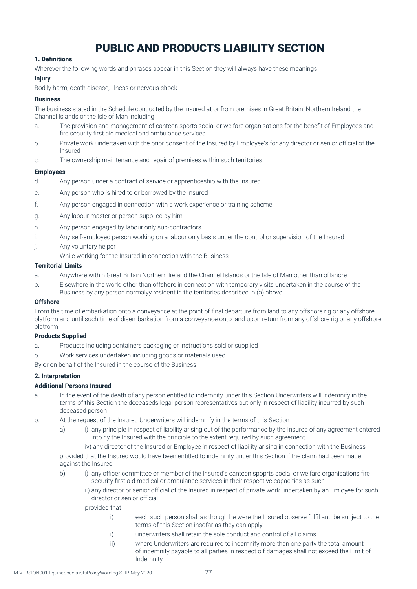# PUBLIC AND PRODUCTS LIABILITY SECTION

# **1. Definitions**

Wherever the following words and phrases appear in this Section they will always have these meanings

#### **Injury**

Bodily harm, death disease, illness or nervous shock

# **Business**

The business stated in the Schedule conducted by the Insured at or from premises in Great Britain, Northern Ireland the Channel Islands or the Isle of Man including

- a. The provision and management of canteen sports social or welfare organisations for the benefit of Employees and fire security first aid medical and ambulance services
- b. Private work undertaken with the prior consent of the Insured by Employee's for any director or senior official of the Insured
- c. The ownership maintenance and repair of premises within such territories

#### **Employees**

- d. Any person under a contract of service or apprenticeship with the Insured
- e. Any person who is hired to or borrowed by the Insured
- f. Any person engaged in connection with a work experience or training scheme
- g. Any labour master or person supplied by him
- h. Any person engaged by labour only sub-contractors
- i. Any self-employed person working on a labour only basis under the control or supervision of the Insured
- j. Any voluntary helper
- While working for the Insured in connection with the Business

#### **Territorial Limits**

- a. Anywhere within Great Britain Northern Ireland the Channel Islands or the Isle of Man other than offshore
- b. Elsewhere in the world other than offshore in connection with temporary visits undertaken in the course of the Business by any person normalyy resident in the territories described in (a) above

# **Offshore**

From the time of embarkation onto a conveyance at the point of final departure from land to any offshore rig or any offshore platform and until such time of disembarkation from a conveyance onto land upon return from any offshore rig or any offshore platform

# **Products Supplied**

- a. Products including containers packaging or instructions sold or supplied
- b. Work services undertaken including goods or materials used
- By or on behalf of the Insured in the course of the Business

# **2. Interpretation**

# **Additional Persons Insured**

- a. In the event of the death of any person entitled to indemnity under this Section Underwriters will indemnify in the terms of this Section the deceaseds legal person representatives but only in respect of liability incurred by such deceased person
- b. At the request of the Insured Underwriters will indemnify in the terms of this Section
	- a) i) any principle in respect of liability arising out of the performance by the Insured of any agreement entered into ny the Insured with the principle to the extent required by such agreement
		- iv) any director of the Insured or Employee in respect of liability arising in connection with the Business

provided that the Insured would have been entitled to indemnity under this Section if the claim had been made against the Insured

- b) i) any officer committee or member of the Insured's canteen spoprts social or welfare organisations fire security first aid medical or ambulance services in their respective capacities as such
	- ii) any director or senior official of the Insured in respect of private work undertaken by an Emloyee for such director or senior official

provided that

- i) each such person shall as though he were the Insured observe fulfil and be subject to the terms of this Section insofar as they can apply
- i) underwriters shall retain the sole conduct and control of all claims
- ii) where Underwriters are required to indemnify more than one party the total amount of indemnity payable to all parties in respect oif damages shall not exceed the Limit of Indemnity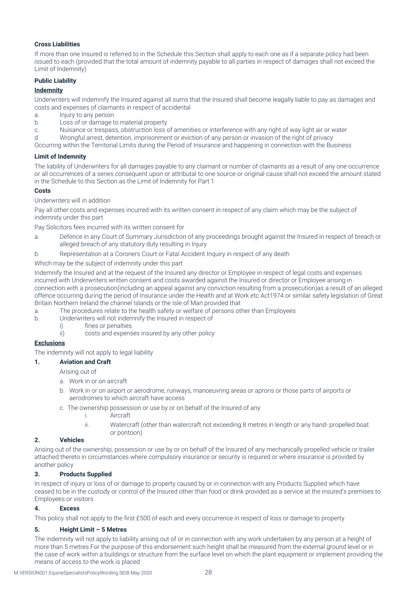# **Cross Liabilities**

If more than one Insured is referred to in the Schedule this Section shall apply to each one as if a separate policy had been issued to each (provided that the total amount of indemnity payable to all parties in respect of damages shall not exceed the Limit of Indemnity)

# **Public Liability**

# **Indemnity**

Underwriters will indemnify the Insured against all sums that the Insured shall become leagally liable to pay as damages and costs and expenses of claimants in respect of accidental

- a. Injury to any person
- b. Loss of or damage to material property
- c. Nuisance or trespass, obstruction loss of amenities or interference with any right of way light air or water

d. Wrongful arrest, detention, imprisonment or eviction of any person or invasion of the right of privacy

Occurring within the Territorial Limits during the Period of Insurance and happening in connection with the Business

# **Limit of Indemnity**

The liability of Underwriters for all damages payable to any claimant or number of claimants as a result of any one occurrence or all occurrences of a series consequent upon or attributal to one source or original cause shall not exceed the amount stated in the Schedule to this Section as the Limit of Indemnity for Part 1

# **Costs**

Underwriters will in addition

Pay all other costs and expenses incurred with its written consent in respect of any claim which may be the subject of indemnity under this part

Pay Solicitors fees incurred with its written consent for

- a. Defence in any Court of Summary Jurisdiction of any proceedings brought against the Insured in respect of breach or alleged breach of any statutory duty resulting in Injury
- b. Representation at a Coroners Court or Fatal Accident Inquiry in respect of any death

Which may be the subject of indemnity under this part

Indemnify the Insured and at the request of the Insured any director or Employee in respect of legal costs and expenses incurred with Underwriters written consent and costs awarded against the Insured or director or Employee arising in connection with a prosecution(including an appeal against any conviction resulting from a prosecution)as a result of an alleged offence occurring during the period of Insurance under the Health and at Work etc Act1974 or similar safety legislation of Great Britain Northern Ireland the channel Islands or the Isle of Man provided that

- a. The procedures relate to the health safety or welfare of persons other than Employees
- b. Underwriters will not indemnify the Insured in respect of
- i) fines or penalties
	- ii) costs and expenses insured by any other policy

# **Exclusions**

The indemnity will not apply to legal liability

#### **1. Aviation and Craft**

Arising out of

- a. Work in or on aircraft
- b. Work in or on airport or aerodrome, runways, manoeuvring areas or aprons or those parts of airports or aerodromes to which aircraft have access
- c. The ownership possession or use by or on behalf of the Insured of any
	- i. Aircraft
	- ii. Watercraft (other than watercraft not exceeding 8 metres in length or any hand- propelled boat or pontoon)

# **2. Vehicles**

Arising out of the ownership, possession or use by or on behalf of the Insured of any mechanically propelled vehicle or trailer attached thereto in circumstances where compulsory insurance or security is required or where insurance is provided by another policy

# **3. Products Supplied**

In respect of injury or loss of or damage to property caused by or in connection with any Products Supplied which have ceased to be in the custody or control of the Insured other than food or drink provided as a service at the insured's premises to Employees or visitors

# **4. Excess**

This policy shall not apply to the first £500 of each and every occurrence in respect of loss or damage to property

# **5. Height Limit – 5 Metres**

The indemnity will not apply to liability arising out of or in connection with any work undertaken by any person at a height of more than 5 metres For the purpose of this endorsement such height shall be measured from the external ground level or in the case of work within a buildings or structure from the surface level on which the plant equipment or implement providing the means of access to the work is placed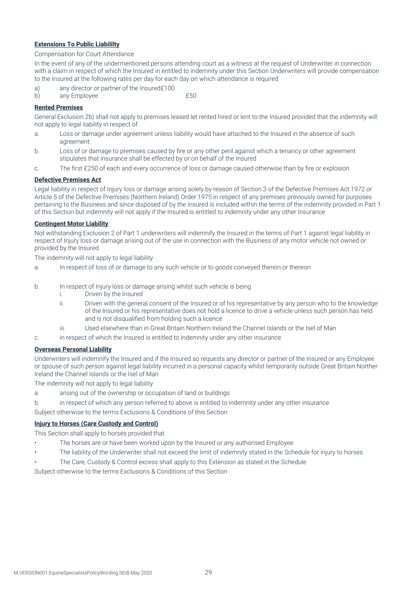# **Extensions To Public Liabililty**

#### Compensation for Court Attendance

In the event of any of the undermentioned persons attending court as a witness at the request of Underwriter in connection with a claim in respect of which the Insured in entitled to indemnity under this Section Underwriters will provide compensation to the Insured at the following rates per day for each day on which attendance is required

- a) any director or partner of the Insured£100
- b) any Employee **E**50

# **Rented Premises**

General Exclusion 2b) shall not apply to premises leased let rented hired or lent to the Insured provided that the indemnity will not apply to legal liability in respect of

- a. Loss or damage under agreement unless liability would have attached to the Insured in the absence of such agreement
- b. Loss of or damage to premises caused by fire or any other peril against which a tenancy or other agreement stipulates that insurance shall be effected by or on behalf of the Insured
- c. The first £250 of each and every occurrence of loss or damage caused otherwise than by fire or explosion

#### **Defective Premises Act**

Legal liability in respect of Injury loss or damage arising solely by reason of Section 3 of the Defective Premises Act 1972 or Article 5 of the Defective Premises (Northern Ireland) Order 1975 in respect of any premises previously owned for purposes pertaining to the Business and since disposed of by the Insured is included within the terms of the indemnity provided in Part 1 of this Section but indemnity will not apply if the Insured is entitled to indemnity under any other Insurance

#### **Contingent Motor Liability**

Not withstanding Exclusion 2 of Part 1 underwriters will indemnify the Insured in the terms of Part 1 against legal liability in respect of Injury loss or damage arising out of the use in connection with the Business of any motor vehicle not owned or provided by the Insured

The indemnity will not apply to legal liability

- a. In respect of loss of or damage to any such vehicle or to goods conveyed therein or thereon
- b. In respect of Injury loss or damage arising whilst such vehicle is being
	- i. Driven by the Insured
	- ii. Driven with the general consent of the Insured or of his representative by any person who to the knowledge of the Insured or his representative does not hold a licence to drive a vehicle unless such person has held and is not disqualified from holding such a licence
	- iii. Used elsewhere than in Great Britain Northern Ireland the Channel Islands or the Isel of Man
- c. in respect of which the Insured is entitled to indemnity under any other insurance

#### **Overseas Personal Liability**

Underwriters will indemnify the Insured and if the Insured so requests any director or partner of the Insured or any Employee or spouse of such person against legal liability incurred in a personal capacity whilst temporarily outside Great Britain Norther Ireland the Channel Islands or the Isel of Man

The indemnity will not apply to legal liability

- a. arising out of the ownership or occupation of land or buildings
- b. in respect of which any person referred to above is entitled to indemnity under any other insurance

Subject otherwise to the terms Exclusions & Conditions of this Section

#### **Injury to Horses (Care Custody and Control)**

This Section shall apply to horses provided that

- The horses are or have been worked upon by the Insured or any authorised Employee
- The liability of the Underwriter shall not exceed the limit of indemnity stated in the Schedule for injury to horses
- The Care, Custody & Control excess shall apply to this Extension as stated in the Schedule

Subject otherwise to the terms Exclusions & Conditions of this Section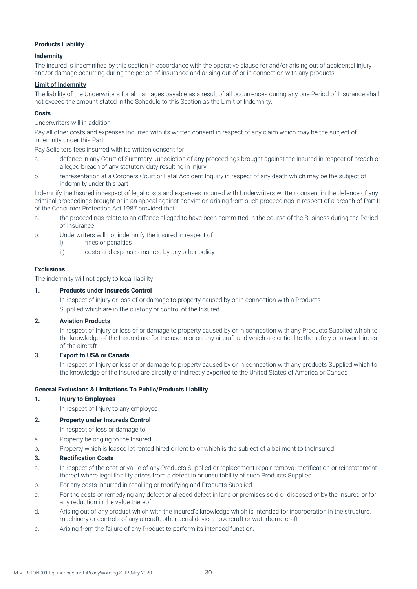# **Products Liability**

#### **Indemnity**

The insured is indemnified by this section in accordance with the operative clause for and/or arising out of accidental injury and/or damage occurring during the period of insurance and arising out of or in connection with any products.

#### **Limit of Indemnity**

The liability of the Underwriters for all damages payable as a result of all occurrences during any one Period of Insurance shall not exceed the amount stated in the Schedule to this Section as the Limit of Indemnity.

#### **Costs**

Underwriters will in addition

Pay all other costs and expenses incurred with its written consent in respect of any claim which may be the subject of indemnity under this Part

Pay Solicitors fees insurred with its written consent for

- a. defence in any Court of Summary Jurisdiction of any proceedings brought against the Insured in respect of breach or alleged breach of any statutory duty resulting in injury
- b. representation at a Coroners Court or Fatal Accident Inquiry in respect of any death which may be the subject of indemnity under this part

Indemnify the Insured in respect of legal costs and expenses incurred with Underwriters written consent in the defence of any criminal proceedings brought or in an appeal against conviction arising from such proceedings in respect of a breach of Part II of the Consumer Protection Act 1987 provided that

- a. the proceedings relate to an offence alleged to have been committed in the course of the Business during the Period of Insurance
- b. Underwriters will not indemnify the insured in respect of
	- i) fines or penalties
		- ii) costs and expenses insured by any other policy

#### **Exclusions**

The indemnity will not apply to legal liability

#### **1. Products under Insureds Control**

In respect of injury or loss of or damage to property caused by or in connection with a Products Supplied which are in the custody or control of the Insured

# **2. Aviation Products**

In respect of Injury or loss of or damage to property caused by or in connection with any Products Supplied which to the knowledge of the Insured are for the use in or on any aircraft and which are critical to the safety or airworthiness of the aircraft

#### **3. Export to USA or Canada**

In respect of Injury or loss of or damage to property caused by or in connection with any products Supplied which to the knowledge of the Insured are directly or indirectly exported to the United States of America or Canada

#### **General Exclusions & Limitations To Public/Products Liability**

# **1. Injury to Employees**

In respect of Injury to any employee

# **2. Property under Insureds Control**

In respect of loss or damage to

- a. Property belonging to the Insured
- b. Property which is leased let rented hired or lent to or which is the subject of a bailment to theInsured

#### **3. Rectification Costs**

- a. In respect of the cost or value of any Products Supplied or replacement repair removal rectification or reinstatement thereof where legal liability arises from a defect in or unsuitability of such Products Supplied
- b. For any costs incurred in recalling or modifying and Products Supplied
- c. For the costs of remedying any defect or alleged defect in land or premises sold or disposed of by the Insured or for any reduction in the value thereof
- d. Arising out of any product which with the insured's knowledge which is intended for incorporation in the structure, machinery or controls of any aircraft, other aerial device, hovercraft or waterborne craft
- e. Arising from the failure of any Product to perform its intended function.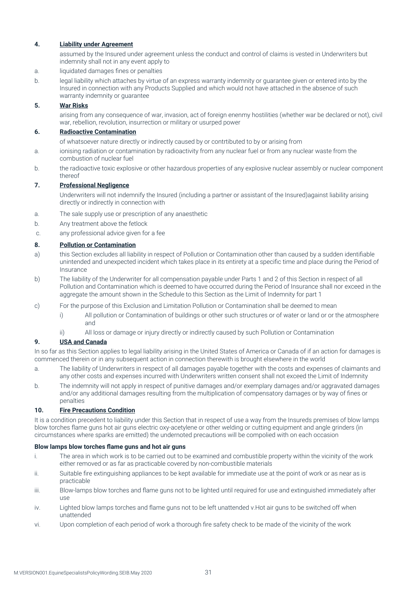# **4. Liability under Agreement**

assumed by the Insured under agreement unless the conduct and control of claims is vested in Underwriters but indemnity shall not in any event apply to

# a. liquidated damages fines or penalties

b. legal liability which attaches by virtue of an express warranty indemnity or guarantee given or entered into by the Insured in connection with any Products Supplied and which would not have attached in the absence of such warranty indemnity or guarantee

# **5. War Risks**

arising from any consequence of war, invasion, act of foreign enenmy hostilities (whether war be declared or not), civil war, rebellion, revolution, insurrection or military or usurped power

# **6. Radioactive Contamination**

of whatsoever nature directly or indirectly caused by or contrtibuted to by or arising from

- a. ionising radiation or contamination by radioactivity from any nuclear fuel or from any nuclear waste from the combustion of nuclear fuel
- b. the radioactive toxic explosive or other hazardous properties of any explosive nuclear assembly or nuclear component thereof

# **7. Professional Negligence**

Underwriters will not indemnify the Insured (including a partner or assistant of the Insured)against liability arising directly or indirectly in connection with

- a. The sale supply use or prescription of any anaesthetic
- b. Any treatment above the fetlock
- c. any professional advice given for a fee

#### **8. Pollution or Contamination**

- a) this Section excludes all liability in respect of Pollution or Contamination other than caused by a sudden identifiable unintended and unexpected incident which takes place in its entirety at a specific time and place during the Period of Insurance
- b) The liability of the Underwriter for all compensation payable under Parts 1 and 2 of this Section in respect of all Pollution and Contamination which is deemed to have occurred during the Period of Insurance shall nor exceed in the aggregate the amount shown in the Schedule to this Section as the Limit of Indemnity for part 1
- c) For the purpose of this Exclusion and Limitation Pollution or Contamination shall be deemed to mean
	- i) All pollution or Contamination of buildings or other such structures or of water or land or or the atmosphere and
	- ii) All loss or damage or injury directly or indirectly caused by such Pollution or Contamination

#### **9. USA and Canada**

In so far as this Section applies to legal liability arising in the United States of America or Canada of if an action for damages is commenced therein or in any subsequent action in connection therewith is brought elsewhere in the world

- a. The liability of Underwriters in respect of all damages payable together with the costs and expenses of claimants and any other costs and expenses incurred with Underwriters written consent shall not exceed the Limit of Indemnity
- b. The indemnity will not apply in respect of punitive damages and/or exemplary damages and/or aggravated damages and/or any additional damages resulting from the multiplication of compensatory damages or by way of fines or penalties

#### **10. Fire Precautions Condition**

It is a condition precedent to liability under this Section that in respect of use a way from the Insureds premises of blow lamps blow torches flame guns hot air guns electric oxy-acetylene or other welding or cutting equipment and angle grinders (in circumstances where sparks are emitted) the undernoted precautions will be compolied with on each occasion

#### **Blow lamps blow torches flame guns and hot air guns**

- i. The area in which work is to be carried out to be examined and combustible property within the vicinity of the work either removed or as far as practicable covered by non-combustible materials
- ii. Suitable fire extinguishing appliances to be kept available for immediate use at the point of work or as near as is practicable
- iii. Blow-lamps blow torches and flame guns not to be lighted until required for use and extinguished immediately after use
- iv. Lighted blow lamps torches and flame guns not to be left unattended v.Hot air guns to be switched off when unattended
- vi. Upon completion of each period of work a thorough fire safety check to be made of the vicinity of the work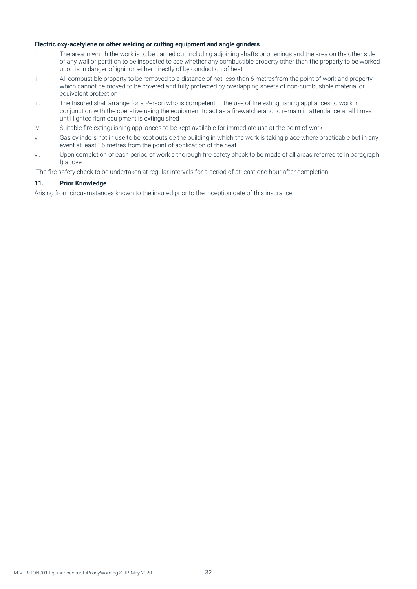#### **Electric oxy-acetylene or other welding or cutting equipment and angle grinders**

- i. The area in which the work is to be carried out including adjoining shafts or openings and the area on the other side of any wall or partition to be inspected to see whether any combustible property other than the property to be worked upon is in danger of ignition either directly of by conduction of heat
- ii. All combustible property to be removed to a distance of not less than 6 metresfrom the point of work and property which cannot be moved to be covered and fully protected by overlapping sheets of non-cumbustible material or equivalent protection
- iii. The Insured shall arrange for a Person who is competent in the use of fire extinguishing appliances to work in conjunction with the operative using the equipment to act as a firewatcherand to remain in attendance at all times until lighted flam equipment is extinguished
- iv. Suitable fire extinguishing appliances to be kept available for immediate use at the point of work
- v. Gas cylinders not in use to be kept outside the building in which the work is taking place where practicable but in any event at least 15 metres from the point of application of the heat
- vi. Upon completion of each period of work a thorough fire safety check to be made of all areas referred to in paragraph I) above

The fire safety check to be undertaken at regular intervals for a period of at least one hour after completion

#### **11. Prior Knowledge**

Arising from circusmstances known to the insured prior to the inception date of this insurance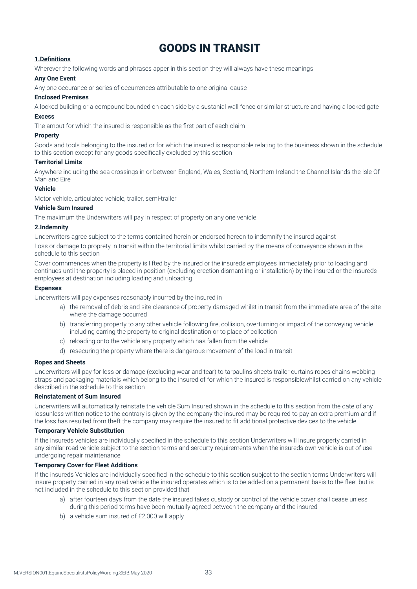# GOODS IN TRANSIT

# **1.Definitions**

Wherever the following words and phrases apper in this section they will always have these meanings

# **Any One Event**

Any one occurance or series of occurrences attributable to one original cause

#### **Enclosed Premises**

A locked building or a compound bounded on each side by a sustanial wall fence or similar structure and having a locked gate

# **Excess**

The amout for which the insured is responsible as the first part of each claim

#### **Property**

Goods and tools belonging to the insured or for which the insured is responsible relating to the business shown in the schedule to this section except for any goods specifically excluded by this section

#### **Territorial Limits**

Anywhere including the sea crossings in or between England, Wales, Scotland, Northern Ireland the Channel Islands the Isle Of Man and Eire

#### **Vehicle**

Motor vehicle, articulated vehicle, trailer, semi-trailer

# **Vehicle Sum Insured**

The maximum the Underwriters will pay in respect of property on any one vehicle

#### **2.Indemnity**

Underwriters agree subject to the terms contained herein or endorsed hereon to indemnify the insured against

Loss or damage to proprety in transit within the territorial limits whilst carried by the means of conveyance shown in the schedule to this section

Cover comnmences when the property is lifted by the insured or the insureds employees immediately prior to loading and continues until the property is placed in position (excluding erection dismantling or installation) by the insured or the insureds employees at destination including loading and unloading

#### **Expenses**

Underwriters will pay expenses reasonably incurred by the insured in

- a) the removal of debris and site clearance of property damaged whilst in transit from the immediate area of the site where the damage occurred
- b) transferring property to any other vehicle following fire, collision, overturning or impact of the conveying vehicle including carring the property to original destination or to place of collection
- c) reloading onto the vehicle any property which has fallen from the vehicle
- d) resecuring the property where there is dangerous movement of the load in transit

#### **Ropes and Sheets**

Underwriters will pay for loss or damage (excluding wear and tear) to tarpaulins sheets trailer curtains ropes chains webbing straps and packaging materials which belong to the insured of for which the insured is responsiblewhilst carried on any vehicle described in the schedule to this section

#### **Reinstatement of Sum Insured**

Underwriters will automatically reinstate the vehicle Sum Insured shown in the schedule to this section from the date of any lossunless written notice to the contrary is given by the company the insured may be required to pay an extra premium and if the loss has resulted from theft the company may require the insured to fit additional protective devices to the vehicle

#### **Temporary Vehicle Substitution**

If the insureds vehicles are individually specified in the schedule to this section Underwriters will insure property carried in any similar road vehicle subject to the section terms and sercurty requirements when the insureds own vehicle is out of use undergoing repair maintenance

#### **Temporary Cover for Fleet Additions**

If the insureds Vehicles are individually specified in the schedule to this section subject to the section terms Underwriters will insure property carried in any road vehicle the insured operates which is to be added on a permanent basis to the fleet but is not included in the schedule to this section provided that

- a) after fourteen days from the date the insured takes custody or control of the vehicle cover shall cease unless during this period terms have been mutually agreed between the company and the insured
- b) a vehicle sum insured of £2,000 will apply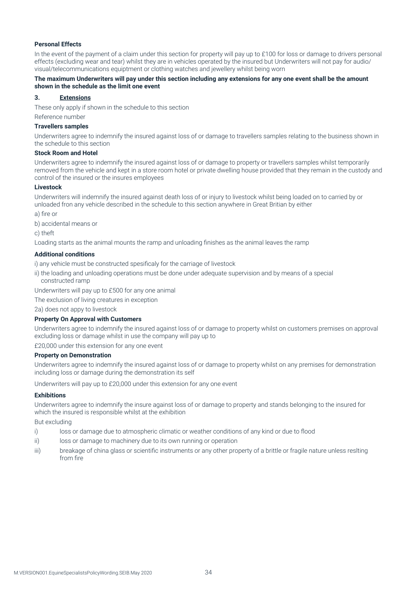#### **Personal Effects**

In the event of the payment of a claim under this section for property will pay up to £100 for loss or damage to drivers personal effects (excluding wear and tear) whilst they are in vehicles operated by the insured but Underwriters will not pay for audio/ visual/telecommunications equiptment or clothing watches and jewellery whilst being worn

#### **The maximum Underwriters will pay under this section including any extensions for any one event shall be the amount shown in the schedule as the limit one event**

#### **3. Extensions**

These only apply if shown in the schedule to this section

Reference number

#### **Travellers samples**

Underwriters agree to indemnify the insured against loss of or damage to travellers samples relating to the business shown in the schedule to this section

#### **Stock Room and Hotel**

Underwriters agree to indemnify the insured against loss of or damage to property or travellers samples whilst temporarily removed from the vehicle and kept in a store room hotel or private dwelling house provided that they remain in the custody and control of the insured or the insures employees

#### **Livestock**

Underwriters will indemnify the insured against death loss of or injury to livestock whilst being loaded on to carried by or unloaded fron any vehicle described in the schedule to this section anywhere in Great Britian by either

a) fire or

b) accidental means or

c) theft

Loading starts as the animal mounts the ramp and unloading finishes as the animal leaves the ramp

#### **Additional conditions**

i) any vehicle must be constructed spesificaly for the carriage of livestock

ii) the loading and unloading operations must be done under adequate supervision and by means of a special constructed ramp

Underwriters will pay up to £500 for any one animal

The exclusion of living creatures in exception

2a) does not appy to livestock

#### **Property On Approval with Customers**

Underwriters agree to indemnify the insured against loss of or damage to property whilst on customers premises on approval excluding loss or damage whilst in use the company will pay up to

£20,000 under this extension for any one event

#### **Property on Demonstration**

Underwriters agree to indemnify the insured against loss of or damage to property whilst on any premises for demonstration including loss or damage during the demonstration its self

Underwriters will pay up to £20,000 under this extension for any one event

#### **Exhibitions**

Underwriters agree to indemnify the insure against loss of or damage to property and stands belonging to the insured for which the insured is responsible whilst at the exhibition

But excluding

- i) loss or damage due to atmospheric climatic or weather conditions of any kind or due to flood
- ii) loss or damage to machinery due to its own running or operation
- iii) breakage of china glass or scientific instruments or any other property of a brittle or fragile nature unless reslting from fire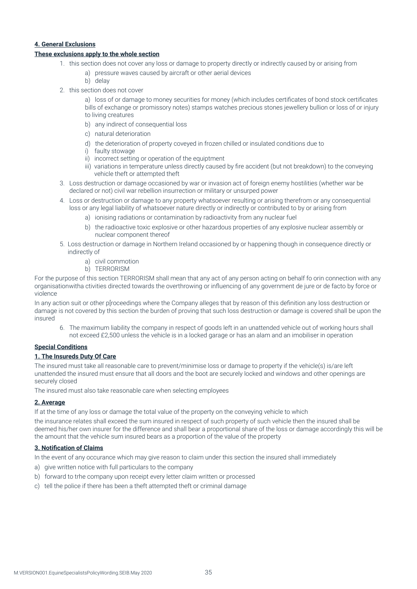# **4. General Exclusions**

#### **These exclusions apply to the whole section**

- 1. this section does not cover any loss or damage to property directly or indirectly caused by or arising from
	- a) pressure waves caused by aircraft or other aerial devices
	- b) delay
- 2. this section does not cover

a) loss of or damage to money securities for money (which includes certificates of bond stock certificates bills of exchange or promissory notes) stamps watches precious stones jewellery bullion or loss of or injury to living creatures

- b) any indirect of consequential loss
- c) natural deterioration
- d) the deterioration of property coveyed in frozen chilled or insulated conditions due to
- i) faulty stowage
- ii) incorrect setting or operation of the equiptment
- iii) variations in temperature unless directly caused by fire accident (but not breakdown) to the conveying vehicle theft or attempted theft
- 3. Loss destruction or damage occasioned by war or invasion act of foreign enemy hostilities (whether war be declared or not) civil war rebellion insurrection or military or unsurped power
- 4. Loss or destruction or damage to any property whatsoever resulting or arising therefrom or any consequential loss or any legal liability of whatsoever nature directly or indirectly or contributed to by or arising from
	- a) ionising radiations or contamination by radioactivity from any nuclear fuel
	- b) the radioactive toxic explosive or other hazardous properties of any explosive nuclear assembly or nuclear component thereof
- 5. Loss destruction or damage in Northern Ireland occasioned by or happening though in consequence directly or indirectly of
	- a) civil commotion
	- b) TERRORISM

For the purpose of this section TERRORISM shall mean that any act of any person acting on behalf fo orin connection with any organisationwitha ctivities directed towards the overthrowing or influencing of any government de jure or de facto by force or violence

In any action suit or other p[roceedings where the Company alleges that by reason of this definition any loss destruction or damage is not covered by this section the burden of proving that such loss destruction or damage is covered shall be upon the insured

6. The maximum liability the company in respect of goods left in an unattended vehicle out of working hours shall not exceed £2,500 unless the vehicle is in a locked garage or has an alam and an imobiliser in operation

#### **Special Conditions**

#### **1. The Insureds Duty Of Care**

The insured must take all reasonable care to prevent/minimise loss or damage to property if the vehicle(s) is/are left unattended the insured must ensure that all doors and the boot are securely locked and windows and other openings are securely closed

The insured must also take reasonable care when selecting employees

#### **2. Average**

If at the time of any loss or damage the total value of the property on the conveying vehicle to which

the insurance relates shall exceed the sum insured in respect of such property of such vehicle then the insured shall be deemed his/her own insurer for the difference and shall bear a proportional share of the loss or damage accordingly this will be the amount that the vehicle sum insured bears as a proportion of the value of the property

#### **3. Notification of Claims**

In the event of any occurance which may give reason to claim under this section the insured shall immediately

- a) give written notice with full particulars to the company
- b) forward to trhe company upon receipt every letter claim written or processed
- c) tell the police if there has been a theft attempted theft or criminal damage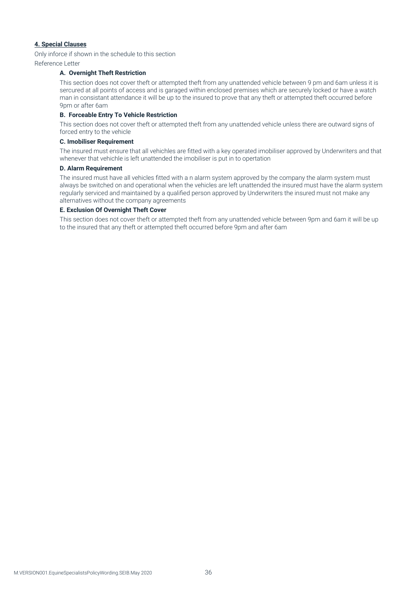# **4. Special Clauses**

Only inforce if shown in the schedule to this section Reference Letter

#### **A. Overnight Theft Restriction**

This section does not cover theft or attempted theft from any unattended vehicle between 9 pm and 6am unless it is sercured at all points of access and is garaged within enclosed premises which are securely locked or have a watch man in consistant attendance it will be up to the insured to prove that any theft or attempted theft occurred before 9pm or after 6am

#### **B. Forceable Entry To Vehicle Restriction**

This section does not cover theft or attempted theft from any unattended vehicle unless there are outward signs of forced entry to the vehicle

#### **C. Imobiliser Requirement**

The insured must ensure that all vehichles are fitted with a key operated imobiliser approved by Underwriters and that whenever that vehichle is left unattended the imobiliser is put in to opertation

#### **D. Alarm Requirement**

The insured must have all vehicles fitted with a n alarm system approved by the company the alarm system must always be switched on and operational when the vehicles are left unattended the insured must have the alarm system regularly serviced and maintained by a qualified person approved by Underwriters the insured must not make any alternatives without the company agreements

#### **E. Exclusion Of Overnight Theft Cover**

This section does not cover theft or attempted theft from any unattended vehicle between 9pm and 6am it will be up to the insured that any theft or attempted theft occurred before 9pm and after 6am